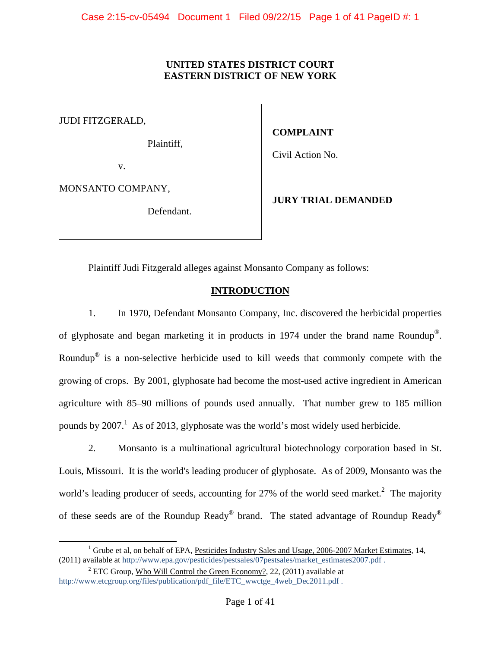# **UNITED STATES DISTRICT COURT EASTERN DISTRICT OF NEW YORK**

JUDI FITZGERALD,

Plaintiff,

**COMPLAINT** 

Civil Action No.

v.

MONSANTO COMPANY,

Defendant.

**JURY TRIAL DEMANDED** 

Plaintiff Judi Fitzgerald alleges against Monsanto Company as follows:

# **INTRODUCTION**

1. In 1970, Defendant Monsanto Company, Inc. discovered the herbicidal properties of glyphosate and began marketing it in products in 1974 under the brand name Roundup®. Roundup® is a non-selective herbicide used to kill weeds that commonly compete with the growing of crops. By 2001, glyphosate had become the most-used active ingredient in American agriculture with 85–90 millions of pounds used annually. That number grew to 185 million pounds by  $2007$ .<sup>1</sup> As of 2013, glyphosate was the world's most widely used herbicide.

2. Monsanto is a multinational agricultural biotechnology corporation based in St. Louis, Missouri. It is the world's leading producer of glyphosate. As of 2009, Monsanto was the world's leading producer of seeds, accounting for 27% of the world seed market.<sup>2</sup> The majority of these seeds are of the Roundup Ready® brand. The stated advantage of Roundup Ready®

 <sup>1</sup> Grube et al, on behalf of EPA, Pesticides Industry Sales and Usage, 2006-2007 Market Estimates, 14, (2011) available at http://www.epa.gov/pesticides/pestsales/07pestsales/market\_estimates2007.pdf .

<sup>&</sup>lt;sup>2</sup> ETC Group, Who Will Control the Green Economy?, 22, (2011) available at http://www.etcgroup.org/files/publication/pdf\_file/ETC\_wwctge\_4web\_Dec2011.pdf .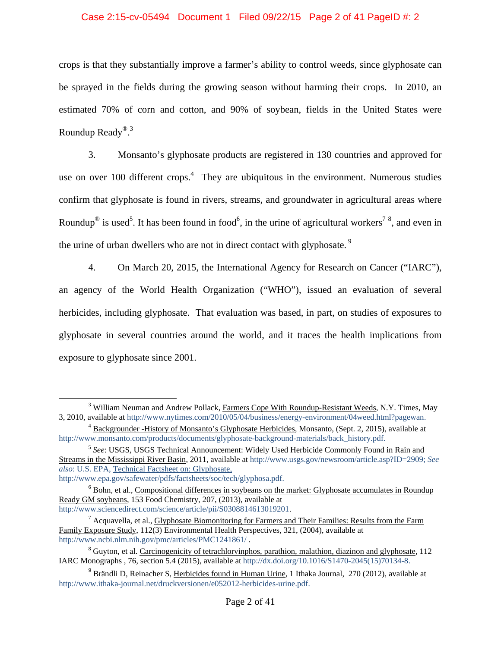#### Case 2:15-cv-05494 Document 1 Filed 09/22/15 Page 2 of 41 PageID #: 2

crops is that they substantially improve a farmer's ability to control weeds, since glyphosate can be sprayed in the fields during the growing season without harming their crops. In 2010, an estimated 70% of corn and cotton, and 90% of soybean, fields in the United States were Roundup Ready<sup>® 3</sup>

3. Monsanto's glyphosate products are registered in 130 countries and approved for use on over 100 different crops. $4$  They are ubiquitous in the environment. Numerous studies confirm that glyphosate is found in rivers, streams, and groundwater in agricultural areas where Roundup<sup>®</sup> is used<sup>5</sup>. It has been found in food<sup>6</sup>, in the urine of agricultural workers<sup>78</sup>, and even in the urine of urban dwellers who are not in direct contact with glyphosate.<sup>9</sup>

4. On March 20, 2015, the International Agency for Research on Cancer ("IARC"), an agency of the World Health Organization ("WHO"), issued an evaluation of several herbicides, including glyphosate. That evaluation was based, in part, on studies of exposures to glyphosate in several countries around the world, and it traces the health implications from exposure to glyphosate since 2001.

<sup>&</sup>lt;sup>3</sup> William Neuman and Andrew Pollack, Farmers Cope With Roundup-Resistant Weeds, N.Y. Times, May 3, 2010, available at http://www.nytimes.com/2010/05/04/business/energy-environment/04weed.html?pagewan. 4

<sup>&</sup>lt;sup>4</sup> Backgrounder -History of Monsanto's Glyphosate Herbicides, Monsanto, (Sept. 2, 2015), available at http://www.monsanto.com/products/documents/glyphosate-background-materials/back\_history.pdf.

<sup>5</sup> *See*: USGS, USGS Technical Announcement: Widely Used Herbicide Commonly Found in Rain and Streams in the Mississippi River Basin, 2011, available at http://www.usgs.gov/newsroom/article.asp?ID=2909; *See also*: U.S. EPA, Technical Factsheet on: Glyphosate,

http://www.epa.gov/safewater/pdfs/factsheets/soc/tech/glyphosa.pdf. 6

 $6$  Bohn, et al., Compositional differences in soybeans on the market: Glyphosate accumulates in Roundup Ready GM soybeans, 153 Food Chemistry, 207, (2013), available at http://www.sciencedirect.com/science/article/pii/S0308814613019201. 7

 $^7$  Acquavella, et al., Glyphosate Biomonitoring for Farmers and Their Families: Results from the Farm Family Exposure Study, 112(3) Environmental Health Perspectives, 321, (2004), available at http://www.ncbi.nlm.nih.gov/pmc/articles/PMC1241861/.

<sup>&</sup>lt;sup>8</sup> Guyton, et al. Carcinogenicity of tetrachlorvinphos, parathion, malathion, diazinon and glyphosate, 112 IARC Monographs , 76, section 5.4 (2015), available at http://dx.doi.org/10.1016/S1470-2045(15)70134-8.

 $9$  Brändli D, Reinacher S, Herbicides found in Human Urine, 1 Ithaka Journal, 270 (2012), available at http://www.ithaka-journal.net/druckversionen/e052012-herbicides-urine.pdf.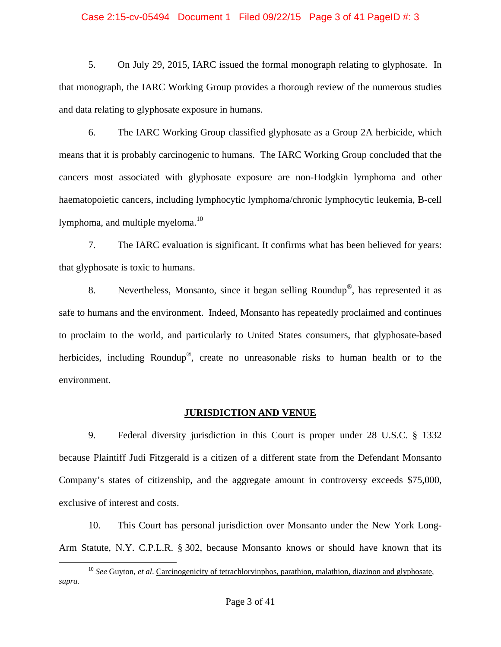#### Case 2:15-cv-05494 Document 1 Filed 09/22/15 Page 3 of 41 PageID #: 3

5. On July 29, 2015, IARC issued the formal monograph relating to glyphosate. In that monograph, the IARC Working Group provides a thorough review of the numerous studies and data relating to glyphosate exposure in humans.

6. The IARC Working Group classified glyphosate as a Group 2A herbicide, which means that it is probably carcinogenic to humans. The IARC Working Group concluded that the cancers most associated with glyphosate exposure are non-Hodgkin lymphoma and other haematopoietic cancers, including lymphocytic lymphoma/chronic lymphocytic leukemia, B-cell lymphoma, and multiple myeloma. $^{10}$ 

7. The IARC evaluation is significant. It confirms what has been believed for years: that glyphosate is toxic to humans.

8. Nevertheless, Monsanto, since it began selling Roundup<sup>®</sup>, has represented it as safe to humans and the environment. Indeed, Monsanto has repeatedly proclaimed and continues to proclaim to the world, and particularly to United States consumers, that glyphosate-based herbicides, including Roundup<sup>®</sup>, create no unreasonable risks to human health or to the environment.

#### **JURISDICTION AND VENUE**

9. Federal diversity jurisdiction in this Court is proper under 28 U.S.C. § 1332 because Plaintiff Judi Fitzgerald is a citizen of a different state from the Defendant Monsanto Company's states of citizenship, and the aggregate amount in controversy exceeds \$75,000, exclusive of interest and costs.

10. This Court has personal jurisdiction over Monsanto under the New York Long-Arm Statute, N.Y. C.P.L.R. § 302, because Monsanto knows or should have known that its

<sup>&</sup>lt;sup>10</sup> *See* Guyton, *et al*. Carcinogenicity of tetrachlorvinphos, parathion, malathion, diazinon and glyphosate, *supra.*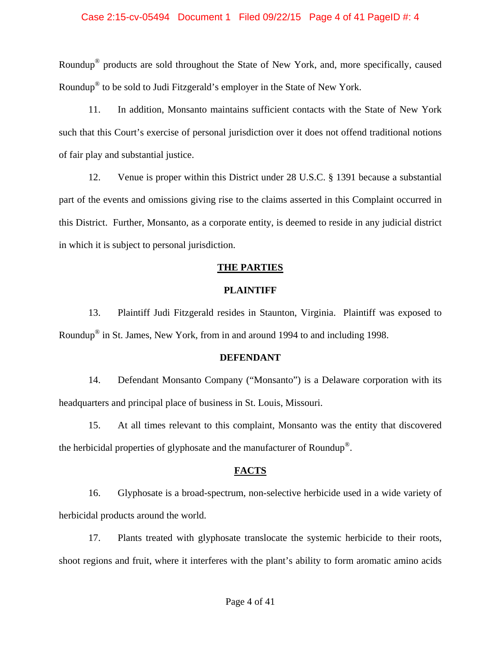#### Case 2:15-cv-05494 Document 1 Filed 09/22/15 Page 4 of 41 PageID #: 4

Roundup® products are sold throughout the State of New York, and, more specifically, caused Roundup® to be sold to Judi Fitzgerald's employer in the State of New York.

11. In addition, Monsanto maintains sufficient contacts with the State of New York such that this Court's exercise of personal jurisdiction over it does not offend traditional notions of fair play and substantial justice.

12. Venue is proper within this District under 28 U.S.C. § 1391 because a substantial part of the events and omissions giving rise to the claims asserted in this Complaint occurred in this District. Further, Monsanto, as a corporate entity, is deemed to reside in any judicial district in which it is subject to personal jurisdiction.

#### **THE PARTIES**

#### **PLAINTIFF**

13. Plaintiff Judi Fitzgerald resides in Staunton, Virginia. Plaintiff was exposed to Roundup® in St. James, New York, from in and around 1994 to and including 1998.

#### **DEFENDANT**

14. Defendant Monsanto Company ("Monsanto") is a Delaware corporation with its headquarters and principal place of business in St. Louis, Missouri.

15. At all times relevant to this complaint, Monsanto was the entity that discovered the herbicidal properties of glyphosate and the manufacturer of Roundup®.

#### **FACTS**

16. Glyphosate is a broad-spectrum, non-selective herbicide used in a wide variety of herbicidal products around the world.

17. Plants treated with glyphosate translocate the systemic herbicide to their roots, shoot regions and fruit, where it interferes with the plant's ability to form aromatic amino acids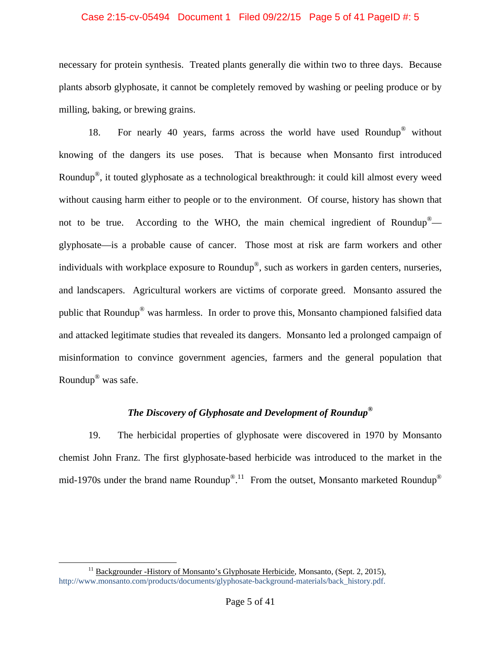#### Case 2:15-cv-05494 Document 1 Filed 09/22/15 Page 5 of 41 PageID #: 5

necessary for protein synthesis. Treated plants generally die within two to three days. Because plants absorb glyphosate, it cannot be completely removed by washing or peeling produce or by milling, baking, or brewing grains.

18. For nearly 40 years, farms across the world have used Roundup® without knowing of the dangers its use poses. That is because when Monsanto first introduced Roundup®, it touted glyphosate as a technological breakthrough: it could kill almost every weed without causing harm either to people or to the environment. Of course, history has shown that not to be true. According to the WHO, the main chemical ingredient of Roundup<sup>®</sup> glyphosate—is a probable cause of cancer. Those most at risk are farm workers and other individuals with workplace exposure to Roundup®, such as workers in garden centers, nurseries, and landscapers. Agricultural workers are victims of corporate greed. Monsanto assured the public that Roundup® was harmless. In order to prove this, Monsanto championed falsified data and attacked legitimate studies that revealed its dangers. Monsanto led a prolonged campaign of misinformation to convince government agencies, farmers and the general population that Roundup® was safe.

# *The Discovery of Glyphosate and Development of Roundup***®**

19. The herbicidal properties of glyphosate were discovered in 1970 by Monsanto chemist John Franz. The first glyphosate-based herbicide was introduced to the market in the mid-1970s under the brand name Roundup<sup>® 11</sup> From the outset, Monsanto marketed Roundup<sup>®</sup>

 $11$  Backgrounder -History of Monsanto's Glyphosate Herbicide, Monsanto, (Sept. 2, 2015), http://www.monsanto.com/products/documents/glyphosate-background-materials/back\_history.pdf.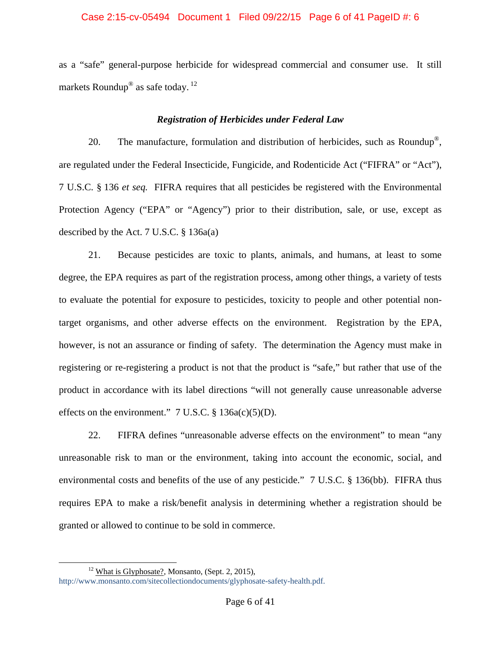### Case 2:15-cv-05494 Document 1 Filed 09/22/15 Page 6 of 41 PageID #: 6

as a "safe" general-purpose herbicide for widespread commercial and consumer use. It still markets Roundup® as safe today. 12

# *Registration of Herbicides under Federal Law*

20. The manufacture, formulation and distribution of herbicides, such as Roundup<sup>®</sup>, are regulated under the Federal Insecticide, Fungicide, and Rodenticide Act ("FIFRA" or "Act"), 7 U.S.C. § 136 *et seq.* FIFRA requires that all pesticides be registered with the Environmental Protection Agency ("EPA" or "Agency") prior to their distribution, sale, or use, except as described by the Act. 7 U.S.C. § 136a(a)

21. Because pesticides are toxic to plants, animals, and humans, at least to some degree, the EPA requires as part of the registration process, among other things, a variety of tests to evaluate the potential for exposure to pesticides, toxicity to people and other potential nontarget organisms, and other adverse effects on the environment. Registration by the EPA, however, is not an assurance or finding of safety. The determination the Agency must make in registering or re-registering a product is not that the product is "safe," but rather that use of the product in accordance with its label directions "will not generally cause unreasonable adverse effects on the environment."  $7 \text{ U.S.C. } § 136a(c)(5)(D)$ .

22. FIFRA defines "unreasonable adverse effects on the environment" to mean "any unreasonable risk to man or the environment, taking into account the economic, social, and environmental costs and benefits of the use of any pesticide." 7 U.S.C. § 136(bb). FIFRA thus requires EPA to make a risk/benefit analysis in determining whether a registration should be granted or allowed to continue to be sold in commerce.

 $12$  What is Glyphosate?, Monsanto, (Sept. 2, 2015),

http://www.monsanto.com/sitecollectiondocuments/glyphosate-safety-health.pdf.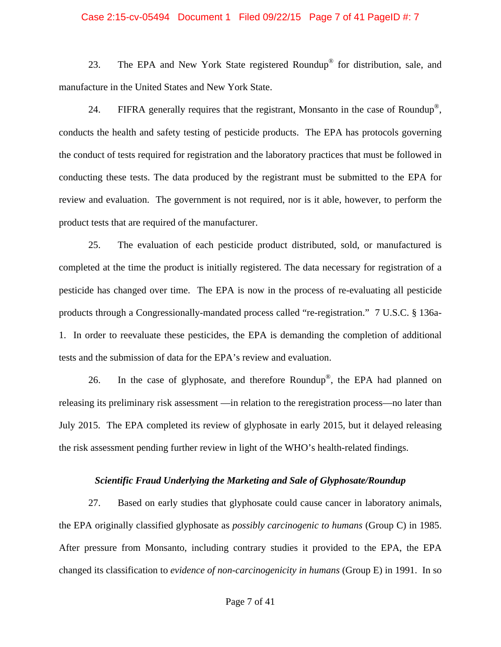#### Case 2:15-cv-05494 Document 1 Filed 09/22/15 Page 7 of 41 PageID #: 7

23. The EPA and New York State registered Roundup® for distribution, sale, and manufacture in the United States and New York State.

24. FIFRA generally requires that the registrant, Monsanto in the case of Roundup<sup>®</sup>, conducts the health and safety testing of pesticide products. The EPA has protocols governing the conduct of tests required for registration and the laboratory practices that must be followed in conducting these tests. The data produced by the registrant must be submitted to the EPA for review and evaluation. The government is not required, nor is it able, however, to perform the product tests that are required of the manufacturer.

25. The evaluation of each pesticide product distributed, sold, or manufactured is completed at the time the product is initially registered. The data necessary for registration of a pesticide has changed over time. The EPA is now in the process of re-evaluating all pesticide products through a Congressionally-mandated process called "re-registration." 7 U.S.C. § 136a-1. In order to reevaluate these pesticides, the EPA is demanding the completion of additional tests and the submission of data for the EPA's review and evaluation.

26. In the case of glyphosate, and therefore Roundup®, the EPA had planned on releasing its preliminary risk assessment —in relation to the reregistration process—no later than July 2015. The EPA completed its review of glyphosate in early 2015, but it delayed releasing the risk assessment pending further review in light of the WHO's health-related findings.

#### *Scientific Fraud Underlying the Marketing and Sale of Glyphosate/Roundup*

27. Based on early studies that glyphosate could cause cancer in laboratory animals, the EPA originally classified glyphosate as *possibly carcinogenic to humans* (Group C) in 1985. After pressure from Monsanto, including contrary studies it provided to the EPA, the EPA changed its classification to *evidence of non-carcinogenicity in humans* (Group E) in 1991. In so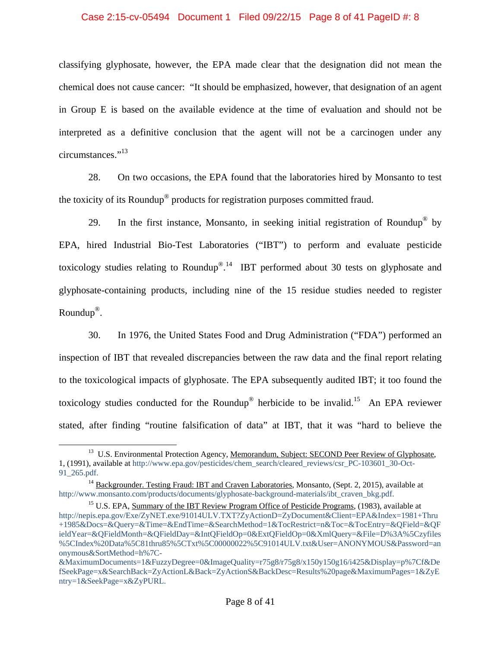#### Case 2:15-cv-05494 Document 1 Filed 09/22/15 Page 8 of 41 PageID #: 8

classifying glyphosate, however, the EPA made clear that the designation did not mean the chemical does not cause cancer: "It should be emphasized, however, that designation of an agent in Group E is based on the available evidence at the time of evaluation and should not be interpreted as a definitive conclusion that the agent will not be a carcinogen under any circumstances."<sup>13</sup>

28. On two occasions, the EPA found that the laboratories hired by Monsanto to test the toxicity of its Roundup® products for registration purposes committed fraud.

29. In the first instance, Monsanto, in seeking initial registration of Roundup<sup>®</sup> by EPA, hired Industrial Bio-Test Laboratories ("IBT") to perform and evaluate pesticide toxicology studies relating to Roundup $^{\circledR}$ .<sup>14</sup> IBT performed about 30 tests on glyphosate and glyphosate-containing products, including nine of the 15 residue studies needed to register Roundup®.

30. In 1976, the United States Food and Drug Administration ("FDA") performed an inspection of IBT that revealed discrepancies between the raw data and the final report relating to the toxicological impacts of glyphosate. The EPA subsequently audited IBT; it too found the toxicology studies conducted for the Roundup<sup>®</sup> herbicide to be invalid.<sup>15</sup> An EPA reviewer stated, after finding "routine falsification of data" at IBT, that it was "hard to believe the

<sup>&</sup>lt;sup>13</sup> U.S. Environmental Protection Agency, Memorandum, Subject: SECOND Peer Review of Glyphosate, 1, (1991), available at http://www.epa.gov/pesticides/chem\_search/cleared\_reviews/csr\_PC-103601\_30-Oct-91\_265.pdf.

<sup>&</sup>lt;sup>14</sup> Backgrounder. Testing Fraud: IBT and Craven Laboratories, Monsanto, (Sept. 2, 2015), available at http://www.monsanto.com/products/documents/glyphosate-background-materials/ibt\_craven\_bkg.pdf. <sup>15</sup> U.S. EPA, Summary of the IBT Review Program Office of Pesticide Programs, (1983), available at

http://nepis.epa.gov/Exe/ZyNET.exe/91014ULV.TXT?ZyActionD=ZyDocument&Client=EPA&Index=1981+Thru +1985&Docs=&Query=&Time=&EndTime=&SearchMethod=1&TocRestrict=n&Toc=&TocEntry=&QField=&QF ieldYear=&QFieldMonth=&QFieldDay=&IntQFieldOp=0&ExtQFieldOp=0&XmlQuery=&File=D%3A%5Czyfiles %5CIndex%20Data%5C81thru85%5CTxt%5C00000022%5C91014ULV.txt&User=ANONYMOUS&Password=an onymous&SortMethod=h%7C-

<sup>&</sup>amp;MaximumDocuments=1&FuzzyDegree=0&ImageQuality=r75g8/r75g8/x150y150g16/i425&Display=p%7Cf&De fSeekPage=x&SearchBack=ZyActionL&Back=ZyActionS&BackDesc=Results%20page&MaximumPages=1&ZyE ntry=1&SeekPage=x&ZyPURL.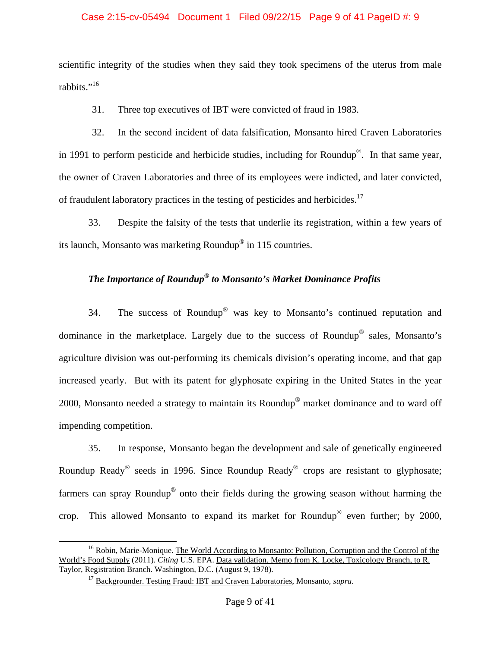#### Case 2:15-cv-05494 Document 1 Filed 09/22/15 Page 9 of 41 PageID #: 9

scientific integrity of the studies when they said they took specimens of the uterus from male rabbits."<sup>16</sup>

31. Three top executives of IBT were convicted of fraud in 1983.

32. In the second incident of data falsification, Monsanto hired Craven Laboratories in 1991 to perform pesticide and herbicide studies, including for Roundup®. In that same year, the owner of Craven Laboratories and three of its employees were indicted, and later convicted, of fraudulent laboratory practices in the testing of pesticides and herbicides.<sup>17</sup>

33. Despite the falsity of the tests that underlie its registration, within a few years of its launch, Monsanto was marketing Roundup® in 115 countries.

# *The Importance of Roundup® to Monsanto's Market Dominance Profits*

34. The success of Roundup® was key to Monsanto's continued reputation and dominance in the marketplace. Largely due to the success of Roundup® sales, Monsanto's agriculture division was out-performing its chemicals division's operating income, and that gap increased yearly. But with its patent for glyphosate expiring in the United States in the year 2000, Monsanto needed a strategy to maintain its Roundup® market dominance and to ward off impending competition.

35. In response, Monsanto began the development and sale of genetically engineered Roundup Ready® seeds in 1996. Since Roundup Ready® crops are resistant to glyphosate; farmers can spray Roundup® onto their fields during the growing season without harming the crop. This allowed Monsanto to expand its market for Roundup® even further; by 2000,

<sup>&</sup>lt;sup>16</sup> Robin, Marie-Monique. The World According to Monsanto: Pollution, Corruption and the Control of the World's Food Supply (2011). *Citing* U.S. EPA. Data validation. Memo from K. Locke, Toxicology Branch, to R. Taylor, Registration Branch. Washington, D.C. (August 9, 1978).

<sup>&</sup>lt;sup>17</sup> Backgrounder. Testing Fraud: IBT and Craven Laboratories, Monsanto, *supra*.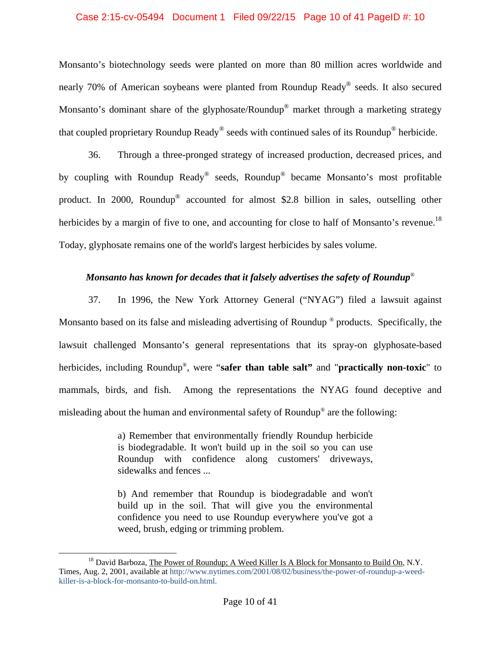#### Case 2:15-cv-05494 Document 1 Filed 09/22/15 Page 10 of 41 PageID #: 10

Monsanto's biotechnology seeds were planted on more than 80 million acres worldwide and nearly 70% of American soybeans were planted from Roundup Ready® seeds. It also secured Monsanto's dominant share of the glyphosate/Roundup<sup>®</sup> market through a marketing strategy that coupled proprietary Roundup Ready® seeds with continued sales of its Roundup® herbicide.

36. Through a three-pronged strategy of increased production, decreased prices, and by coupling with Roundup Ready® seeds, Roundup® became Monsanto's most profitable product. In 2000, Roundup® accounted for almost \$2.8 billion in sales, outselling other herbicides by a margin of five to one, and accounting for close to half of Monsanto's revenue.<sup>18</sup> Today, glyphosate remains one of the world's largest herbicides by sales volume.

# *Monsanto has known for decades that it falsely advertises the safety of Roundup*®

37. In 1996, the New York Attorney General ("NYAG") filed a lawsuit against Monsanto based on its false and misleading advertising of Roundup ® products. Specifically, the lawsuit challenged Monsanto's general representations that its spray-on glyphosate-based herbicides, including Roundup®, were "**safer than table salt"** and "**practically non-toxic**" to mammals, birds, and fish. Among the representations the NYAG found deceptive and misleading about the human and environmental safety of Roundup® are the following:

> a) Remember that environmentally friendly Roundup herbicide is biodegradable. It won't build up in the soil so you can use Roundup with confidence along customers' driveways, sidewalks and fences ...

> b) And remember that Roundup is biodegradable and won't build up in the soil. That will give you the environmental confidence you need to use Roundup everywhere you've got a weed, brush, edging or trimming problem.

<sup>&</sup>lt;sup>18</sup> David Barboza, The Power of Roundup; A Weed Killer Is A Block for Monsanto to Build On, N.Y. Times, Aug. 2, 2001, available at http://www.nytimes.com/2001/08/02/business/the-power-of-roundup-a-weedkiller-is-a-block-for-monsanto-to-build-on.html.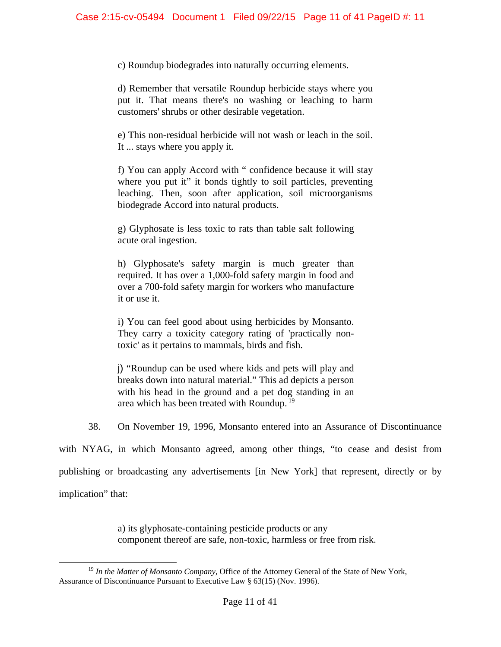c) Roundup biodegrades into naturally occurring elements.

d) Remember that versatile Roundup herbicide stays where you put it. That means there's no washing or leaching to harm customers' shrubs or other desirable vegetation.

e) This non-residual herbicide will not wash or leach in the soil. It ... stays where you apply it.

f) You can apply Accord with " confidence because it will stay where you put it" it bonds tightly to soil particles, preventing leaching. Then, soon after application, soil microorganisms biodegrade Accord into natural products.

g) Glyphosate is less toxic to rats than table salt following acute oral ingestion.

h) Glyphosate's safety margin is much greater than required. It has over a 1,000-fold safety margin in food and over a 700-fold safety margin for workers who manufacture it or use it.

i) You can feel good about using herbicides by Monsanto. They carry a toxicity category rating of 'practically nontoxic' as it pertains to mammals, birds and fish.

j) "Roundup can be used where kids and pets will play and breaks down into natural material." This ad depicts a person with his head in the ground and a pet dog standing in an area which has been treated with Roundup.<sup>19</sup>

38. On November 19, 1996, Monsanto entered into an Assurance of Discontinuance

with NYAG, in which Monsanto agreed, among other things, "to cease and desist from publishing or broadcasting any advertisements [in New York] that represent, directly or by implication" that:

> a) its glyphosate-containing pesticide products or any component thereof are safe, non-toxic, harmless or free from risk.

 <sup>19</sup> *In the Matter of Monsanto Company,* Office of the Attorney General of the State of New York, Assurance of Discontinuance Pursuant to Executive Law § 63(15) (Nov. 1996).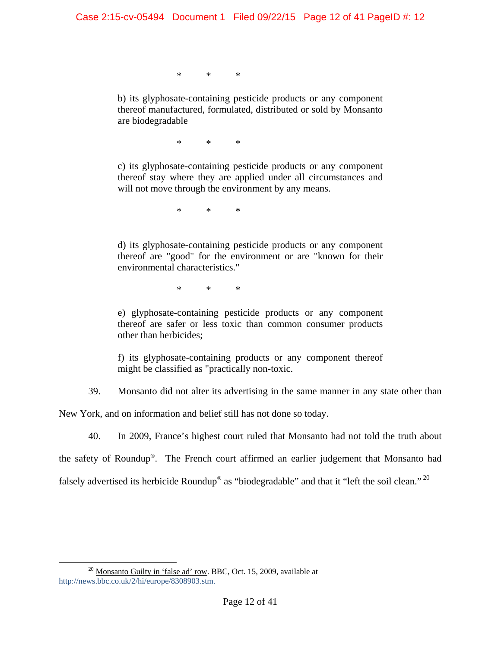\* \* \*

b) its glyphosate-containing pesticide products or any component thereof manufactured, formulated, distributed or sold by Monsanto are biodegradable

\* \* \*

c) its glyphosate-containing pesticide products or any component thereof stay where they are applied under all circumstances and will not move through the environment by any means.

\* \* \*

d) its glyphosate-containing pesticide products or any component thereof are "good" for the environment or are "known for their environmental characteristics."

\* \* \*

e) glyphosate-containing pesticide products or any component thereof are safer or less toxic than common consumer products other than herbicides;

f) its glyphosate-containing products or any component thereof might be classified as "practically non-toxic.

39. Monsanto did not alter its advertising in the same manner in any state other than

New York, and on information and belief still has not done so today.

40. In 2009, France's highest court ruled that Monsanto had not told the truth about

the safety of Roundup®. The French court affirmed an earlier judgement that Monsanto had

falsely advertised its herbicide Roundup<sup>®</sup> as "biodegradable" and that it "left the soil clean."<sup>20</sup>

<sup>&</sup>lt;sup>20</sup> Monsanto Guilty in 'false ad' row. BBC, Oct. 15, 2009, available at http://news.bbc.co.uk/2/hi/europe/8308903.stm.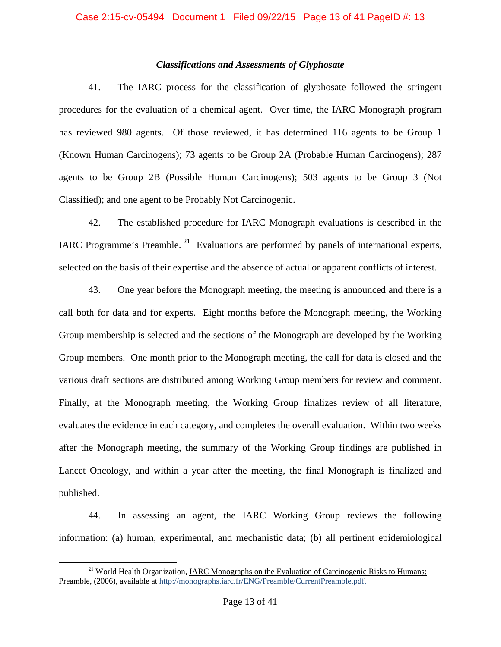# *Classifications and Assessments of Glyphosate*

41. The IARC process for the classification of glyphosate followed the stringent procedures for the evaluation of a chemical agent. Over time, the IARC Monograph program has reviewed 980 agents. Of those reviewed, it has determined 116 agents to be Group 1 (Known Human Carcinogens); 73 agents to be Group 2A (Probable Human Carcinogens); 287 agents to be Group 2B (Possible Human Carcinogens); 503 agents to be Group 3 (Not Classified); and one agent to be Probably Not Carcinogenic.

42. The established procedure for IARC Monograph evaluations is described in the IARC Programme's Preamble.<sup>21</sup> Evaluations are performed by panels of international experts, selected on the basis of their expertise and the absence of actual or apparent conflicts of interest.

43. One year before the Monograph meeting, the meeting is announced and there is a call both for data and for experts. Eight months before the Monograph meeting, the Working Group membership is selected and the sections of the Monograph are developed by the Working Group members. One month prior to the Monograph meeting, the call for data is closed and the various draft sections are distributed among Working Group members for review and comment. Finally, at the Monograph meeting, the Working Group finalizes review of all literature, evaluates the evidence in each category, and completes the overall evaluation. Within two weeks after the Monograph meeting, the summary of the Working Group findings are published in Lancet Oncology, and within a year after the meeting, the final Monograph is finalized and published.

44. In assessing an agent, the IARC Working Group reviews the following information: (a) human, experimental, and mechanistic data; (b) all pertinent epidemiological

<sup>&</sup>lt;sup>21</sup> World Health Organization, IARC Monographs on the Evaluation of Carcinogenic Risks to Humans: Preamble, (2006), available at http://monographs.iarc.fr/ENG/Preamble/CurrentPreamble.pdf.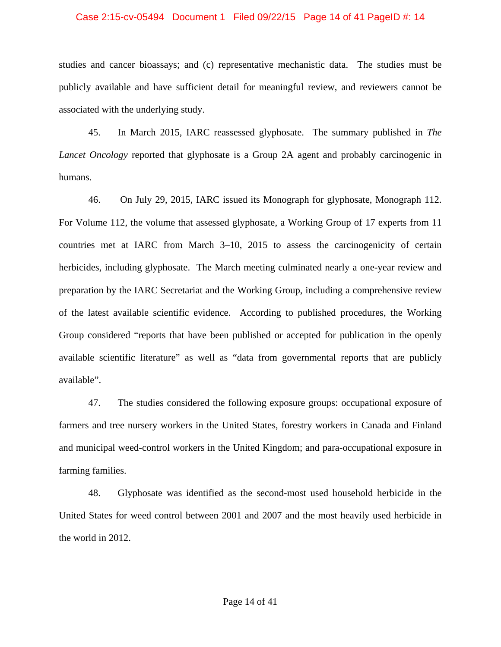#### Case 2:15-cv-05494 Document 1 Filed 09/22/15 Page 14 of 41 PageID #: 14

studies and cancer bioassays; and (c) representative mechanistic data. The studies must be publicly available and have sufficient detail for meaningful review, and reviewers cannot be associated with the underlying study.

45. In March 2015, IARC reassessed glyphosate. The summary published in *The Lancet Oncology* reported that glyphosate is a Group 2A agent and probably carcinogenic in humans.

46. On July 29, 2015, IARC issued its Monograph for glyphosate, Monograph 112. For Volume 112, the volume that assessed glyphosate, a Working Group of 17 experts from 11 countries met at IARC from March 3–10, 2015 to assess the carcinogenicity of certain herbicides, including glyphosate. The March meeting culminated nearly a one-year review and preparation by the IARC Secretariat and the Working Group, including a comprehensive review of the latest available scientific evidence. According to published procedures, the Working Group considered "reports that have been published or accepted for publication in the openly available scientific literature" as well as "data from governmental reports that are publicly available".

47. The studies considered the following exposure groups: occupational exposure of farmers and tree nursery workers in the United States, forestry workers in Canada and Finland and municipal weed-control workers in the United Kingdom; and para-occupational exposure in farming families.

48. Glyphosate was identified as the second-most used household herbicide in the United States for weed control between 2001 and 2007 and the most heavily used herbicide in the world in 2012.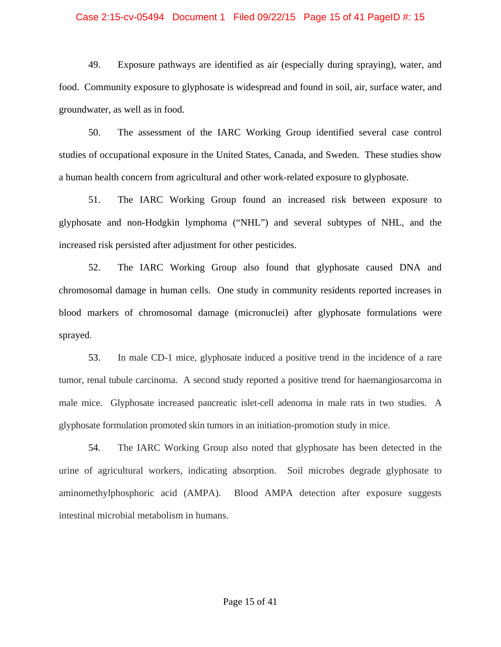#### Case 2:15-cv-05494 Document 1 Filed 09/22/15 Page 15 of 41 PageID #: 15

49. Exposure pathways are identified as air (especially during spraying), water, and food. Community exposure to glyphosate is widespread and found in soil, air, surface water, and groundwater, as well as in food.

50. The assessment of the IARC Working Group identified several case control studies of occupational exposure in the United States, Canada, and Sweden. These studies show a human health concern from agricultural and other work-related exposure to glyphosate.

51. The IARC Working Group found an increased risk between exposure to glyphosate and non-Hodgkin lymphoma ("NHL") and several subtypes of NHL, and the increased risk persisted after adjustment for other pesticides.

52. The IARC Working Group also found that glyphosate caused DNA and chromosomal damage in human cells. One study in community residents reported increases in blood markers of chromosomal damage (micronuclei) after glyphosate formulations were sprayed.

53. In male CD-1 mice, glyphosate induced a positive trend in the incidence of a rare tumor, renal tubule carcinoma. A second study reported a positive trend for haemangiosarcoma in male mice. Glyphosate increased pancreatic islet-cell adenoma in male rats in two studies. A glyphosate formulation promoted skin tumors in an initiation-promotion study in mice.

54. The IARC Working Group also noted that glyphosate has been detected in the urine of agricultural workers, indicating absorption. Soil microbes degrade glyphosate to aminomethylphosphoric acid (AMPA). Blood AMPA detection after exposure suggests intestinal microbial metabolism in humans.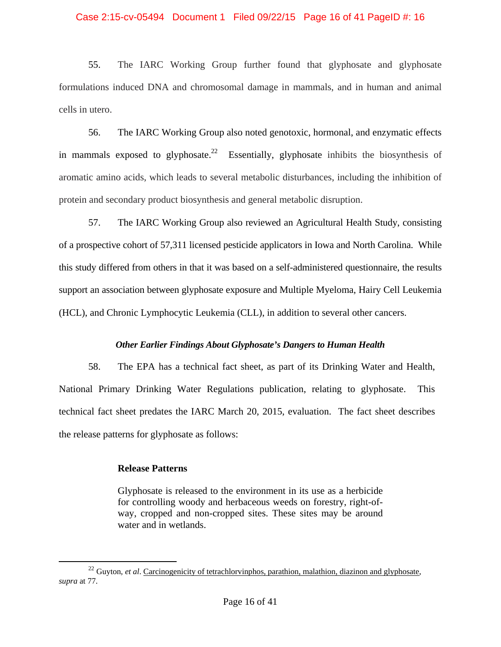#### Case 2:15-cv-05494 Document 1 Filed 09/22/15 Page 16 of 41 PageID #: 16

55. The IARC Working Group further found that glyphosate and glyphosate formulations induced DNA and chromosomal damage in mammals, and in human and animal cells in utero.

56. The IARC Working Group also noted genotoxic, hormonal, and enzymatic effects in mammals exposed to glyphosate.<sup>22</sup> Essentially, glyphosate inhibits the biosynthesis of aromatic amino acids, which leads to several metabolic disturbances, including the inhibition of protein and secondary product biosynthesis and general metabolic disruption.

57. The IARC Working Group also reviewed an Agricultural Health Study, consisting of a prospective cohort of 57,311 licensed pesticide applicators in Iowa and North Carolina. While this study differed from others in that it was based on a self-administered questionnaire, the results support an association between glyphosate exposure and Multiple Myeloma, Hairy Cell Leukemia (HCL), and Chronic Lymphocytic Leukemia (CLL), in addition to several other cancers.

## *Other Earlier Findings About Glyphosate's Dangers to Human Health*

58. The EPA has a technical fact sheet, as part of its Drinking Water and Health, National Primary Drinking Water Regulations publication, relating to glyphosate. This technical fact sheet predates the IARC March 20, 2015, evaluation. The fact sheet describes the release patterns for glyphosate as follows:

## **Release Patterns**

Glyphosate is released to the environment in its use as a herbicide for controlling woody and herbaceous weeds on forestry, right-ofway, cropped and non-cropped sites. These sites may be around water and in wetlands.

<sup>&</sup>lt;sup>22</sup> Guyton, *et al.* Carcinogenicity of tetrachlorvinphos, parathion, malathion, diazinon and glyphosate, *supra* at 77.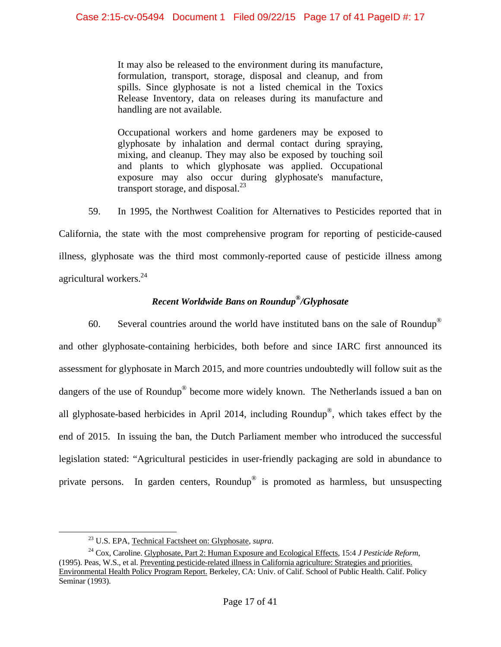It may also be released to the environment during its manufacture, formulation, transport, storage, disposal and cleanup, and from spills. Since glyphosate is not a listed chemical in the Toxics Release Inventory, data on releases during its manufacture and handling are not available.

Occupational workers and home gardeners may be exposed to glyphosate by inhalation and dermal contact during spraying, mixing, and cleanup. They may also be exposed by touching soil and plants to which glyphosate was applied. Occupational exposure may also occur during glyphosate's manufacture, transport storage, and disposal. $^{23}$ 

59. In 1995, the Northwest Coalition for Alternatives to Pesticides reported that in

California, the state with the most comprehensive program for reporting of pesticide-caused illness, glyphosate was the third most commonly-reported cause of pesticide illness among agricultural workers. $24$ 

# *Recent Worldwide Bans on Roundup®/Glyphosate*

60. Several countries around the world have instituted bans on the sale of Roundup<sup>®</sup> and other glyphosate-containing herbicides, both before and since IARC first announced its assessment for glyphosate in March 2015, and more countries undoubtedly will follow suit as the dangers of the use of Roundup<sup>®</sup> become more widely known. The Netherlands issued a ban on all glyphosate-based herbicides in April 2014, including Roundup®, which takes effect by the end of 2015. In issuing the ban, the Dutch Parliament member who introduced the successful legislation stated: "Agricultural pesticides in user-friendly packaging are sold in abundance to private persons. In garden centers, Roundup® is promoted as harmless, but unsuspecting

<sup>&</sup>lt;sup>23</sup> U.S. EPA, <u>Technical Factsheet on: Glyphosate</u>, *supra*.<br><sup>24</sup> Cox, Caroline. <u>Glyphosate, Part 2: Human Exposure and Ecological Effects</u>, 15:4 *J Pesticide Reform*, (1995). Peas, W.S., et al. Preventing pesticide-related illness in California agriculture: Strategies and priorities. Environmental Health Policy Program Report. Berkeley, CA: Univ. of Calif. School of Public Health. Calif. Policy Seminar (1993).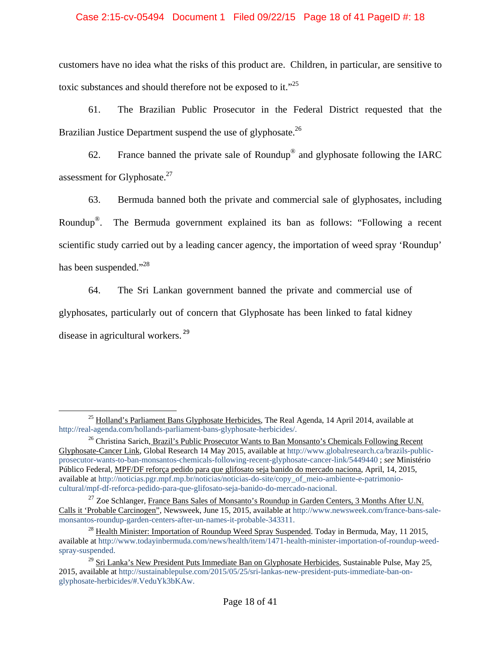### Case 2:15-cv-05494 Document 1 Filed 09/22/15 Page 18 of 41 PageID #: 18

customers have no idea what the risks of this product are. Children, in particular, are sensitive to toxic substances and should therefore not be exposed to it."<sup>25</sup>

61. The Brazilian Public Prosecutor in the Federal District requested that the Brazilian Justice Department suspend the use of glyphosate.<sup>26</sup>

62. France banned the private sale of Roundup<sup>®</sup> and glyphosate following the IARC assessment for Glyphosate.<sup>27</sup>

63. Bermuda banned both the private and commercial sale of glyphosates, including Roundup®. The Bermuda government explained its ban as follows: "Following a recent scientific study carried out by a leading cancer agency, the importation of weed spray 'Roundup' has been suspended."<sup>28</sup>

64. The Sri Lankan government banned the private and commercial use of glyphosates, particularly out of concern that Glyphosate has been linked to fatal kidney disease in agricultural workers.<sup>29</sup>

 $^{25}$  Holland's Parliament Bans Glyphosate Herbicides, The Real Agenda, 14 April 2014, available at http://real-agenda.com/hollands-parliament-bans-glyphosate-herbicides/.

<sup>&</sup>lt;sup>26</sup> Christina Sarich, Brazil's Public Prosecutor Wants to Ban Monsanto's Chemicals Following Recent Glyphosate-Cancer Link, Global Research 14 May 2015, available at http://www.globalresearch.ca/brazils-publicprosecutor-wants-to-ban-monsantos-chemicals-following-recent-glyphosate-cancer-link/5449440 ; *see* Ministério Público Federal, MPF/DF reforça pedido para que glifosato seja banido do mercado naciona, April, 14, 2015, available at http://noticias.pgr.mpf.mp.br/noticias/noticias-do-site/copy\_of\_meio-ambiente-e-patrimoniocultural/mpf-df-reforca-pedido-para-que-glifosato-seja-banido-do-mercado-nacional.

<sup>&</sup>lt;sup>27</sup> Zoe Schlanger, France Bans Sales of Monsanto's Roundup in Garden Centers, 3 Months After U.N. Calls it 'Probable Carcinogen", Newsweek, June 15, 2015, available at http://www.newsweek.com/france-bans-salemonsantos-roundup-garden-centers-after-un-names-it-probable-343311.<br><sup>28</sup> Health Minister: Importation of Roundup Weed Spray Suspended. Today in Bermuda, May, 11 2015,

available at http://www.todayinbermuda.com/news/health/item/1471-health-minister-importation-of-roundup-weedspray-suspended.

 $^{29}$  Sri Lanka's New President Puts Immediate Ban on Glyphosate Herbicides, Sustainable Pulse, May 25, 2015, available at http://sustainablepulse.com/2015/05/25/sri-lankas-new-president-puts-immediate-ban-onglyphosate-herbicides/#.VeduYk3bKAw.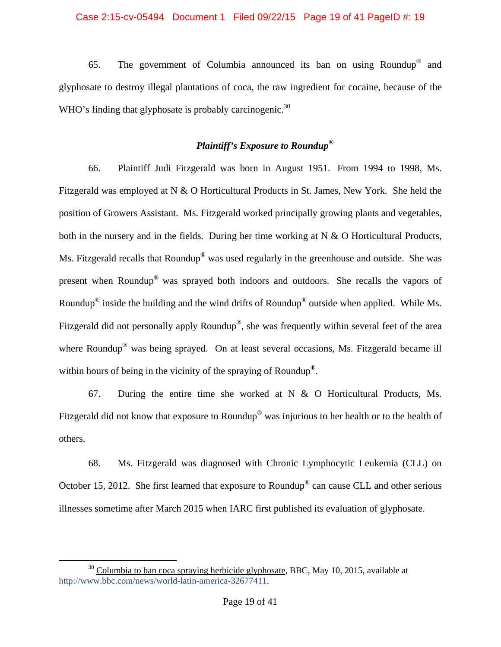### Case 2:15-cv-05494 Document 1 Filed 09/22/15 Page 19 of 41 PageID #: 19

65. The government of Columbia announced its ban on using Roundup® and glyphosate to destroy illegal plantations of coca, the raw ingredient for cocaine, because of the WHO's finding that glyphosate is probably carcinogenic.<sup>30</sup>

# *Plaintiff's Exposure to Roundup®*

66. Plaintiff Judi Fitzgerald was born in August 1951. From 1994 to 1998, Ms. Fitzgerald was employed at N & O Horticultural Products in St. James, New York. She held the position of Growers Assistant. Ms. Fitzgerald worked principally growing plants and vegetables, both in the nursery and in the fields. During her time working at  $N \& O$  Horticultural Products, Ms. Fitzgerald recalls that Roundup<sup>®</sup> was used regularly in the greenhouse and outside. She was present when Roundup® was sprayed both indoors and outdoors. She recalls the vapors of Roundup® inside the building and the wind drifts of Roundup® outside when applied. While Ms. Fitzgerald did not personally apply Roundup®, she was frequently within several feet of the area where Roundup<sup>®</sup> was being sprayed. On at least several occasions, Ms. Fitzgerald became ill within hours of being in the vicinity of the spraying of Roundup<sup>®</sup>.

67. During the entire time she worked at N & O Horticultural Products, Ms. Fitzgerald did not know that exposure to Roundup<sup>®</sup> was injurious to her health or to the health of others.

68. Ms. Fitzgerald was diagnosed with Chronic Lymphocytic Leukemia (CLL) on October 15, 2012. She first learned that exposure to Roundup® can cause CLL and other serious illnesses sometime after March 2015 when IARC first published its evaluation of glyphosate.

 $30$  Columbia to ban coca spraying herbicide glyphosate, BBC, May 10, 2015, available at http://www.bbc.com/news/world-latin-america-32677411.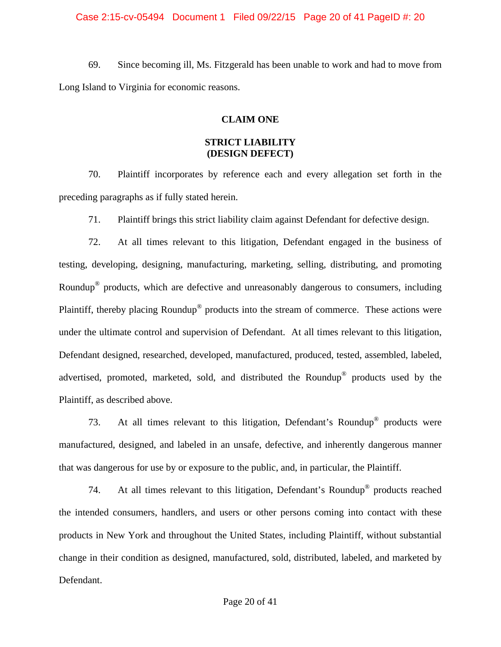#### Case 2:15-cv-05494 Document 1 Filed 09/22/15 Page 20 of 41 PageID #: 20

69. Since becoming ill, Ms. Fitzgerald has been unable to work and had to move from Long Island to Virginia for economic reasons.

# **CLAIM ONE**

# **STRICT LIABILITY (DESIGN DEFECT)**

70. Plaintiff incorporates by reference each and every allegation set forth in the preceding paragraphs as if fully stated herein.

71. Plaintiff brings this strict liability claim against Defendant for defective design.

72. At all times relevant to this litigation, Defendant engaged in the business of testing, developing, designing, manufacturing, marketing, selling, distributing, and promoting Roundup® products, which are defective and unreasonably dangerous to consumers, including Plaintiff, thereby placing Roundup® products into the stream of commerce. These actions were under the ultimate control and supervision of Defendant. At all times relevant to this litigation, Defendant designed, researched, developed, manufactured, produced, tested, assembled, labeled, advertised, promoted, marketed, sold, and distributed the Roundup® products used by the Plaintiff, as described above.

73. At all times relevant to this litigation, Defendant's Roundup® products were manufactured, designed, and labeled in an unsafe, defective, and inherently dangerous manner that was dangerous for use by or exposure to the public, and, in particular, the Plaintiff.

74. At all times relevant to this litigation, Defendant's Roundup® products reached the intended consumers, handlers, and users or other persons coming into contact with these products in New York and throughout the United States, including Plaintiff, without substantial change in their condition as designed, manufactured, sold, distributed, labeled, and marketed by Defendant.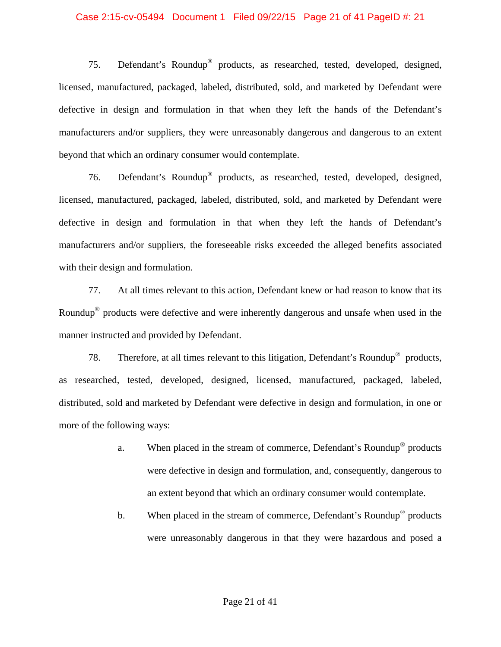#### Case 2:15-cv-05494 Document 1 Filed 09/22/15 Page 21 of 41 PageID #: 21

75. Defendant's Roundup® products, as researched, tested, developed, designed, licensed, manufactured, packaged, labeled, distributed, sold, and marketed by Defendant were defective in design and formulation in that when they left the hands of the Defendant's manufacturers and/or suppliers, they were unreasonably dangerous and dangerous to an extent beyond that which an ordinary consumer would contemplate.

76. Defendant's Roundup® products, as researched, tested, developed, designed, licensed, manufactured, packaged, labeled, distributed, sold, and marketed by Defendant were defective in design and formulation in that when they left the hands of Defendant's manufacturers and/or suppliers, the foreseeable risks exceeded the alleged benefits associated with their design and formulation.

77. At all times relevant to this action, Defendant knew or had reason to know that its Roundup® products were defective and were inherently dangerous and unsafe when used in the manner instructed and provided by Defendant.

78. Therefore, at all times relevant to this litigation, Defendant's Roundup® products, as researched, tested, developed, designed, licensed, manufactured, packaged, labeled, distributed, sold and marketed by Defendant were defective in design and formulation, in one or more of the following ways:

- a. When placed in the stream of commerce, Defendant's Roundup® products were defective in design and formulation, and, consequently, dangerous to an extent beyond that which an ordinary consumer would contemplate.
- b. When placed in the stream of commerce, Defendant's Roundup<sup>®</sup> products were unreasonably dangerous in that they were hazardous and posed a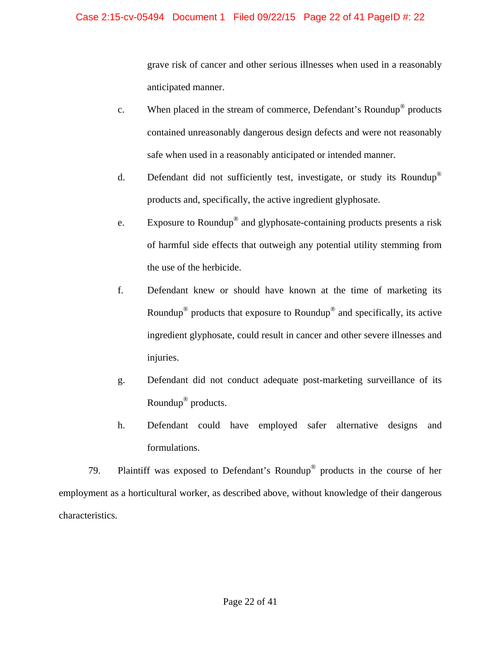# Case 2:15-cv-05494 Document 1 Filed 09/22/15 Page 22 of 41 PageID #: 22

grave risk of cancer and other serious illnesses when used in a reasonably anticipated manner.

- c. When placed in the stream of commerce, Defendant's Roundup® products contained unreasonably dangerous design defects and were not reasonably safe when used in a reasonably anticipated or intended manner.
- d. Defendant did not sufficiently test, investigate, or study its Roundup<sup>®</sup> products and, specifically, the active ingredient glyphosate.
- e. Exposure to Roundup® and glyphosate-containing products presents a risk of harmful side effects that outweigh any potential utility stemming from the use of the herbicide.
- f. Defendant knew or should have known at the time of marketing its Roundup® products that exposure to Roundup® and specifically, its active ingredient glyphosate, could result in cancer and other severe illnesses and injuries.
- g. Defendant did not conduct adequate post-marketing surveillance of its Roundup® products.
- h. Defendant could have employed safer alternative designs and formulations.

79. Plaintiff was exposed to Defendant's Roundup® products in the course of her employment as a horticultural worker, as described above, without knowledge of their dangerous characteristics.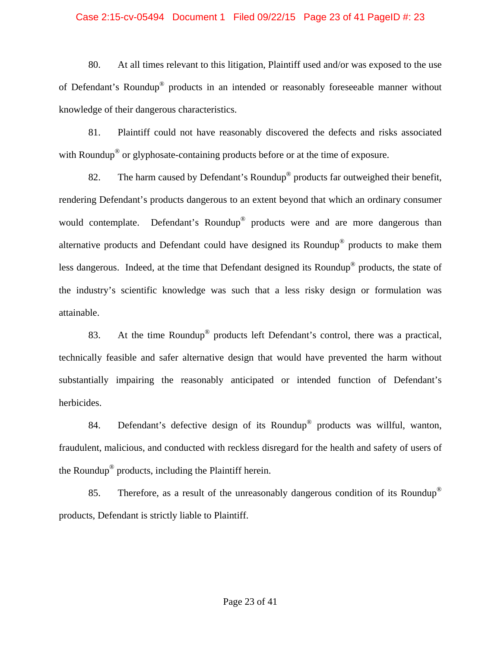#### Case 2:15-cv-05494 Document 1 Filed 09/22/15 Page 23 of 41 PageID #: 23

80. At all times relevant to this litigation, Plaintiff used and/or was exposed to the use of Defendant's Roundup® products in an intended or reasonably foreseeable manner without knowledge of their dangerous characteristics.

81. Plaintiff could not have reasonably discovered the defects and risks associated with Roundup<sup>®</sup> or glyphosate-containing products before or at the time of exposure.

82. The harm caused by Defendant's Roundup® products far outweighed their benefit, rendering Defendant's products dangerous to an extent beyond that which an ordinary consumer would contemplate. Defendant's Roundup<sup>®</sup> products were and are more dangerous than alternative products and Defendant could have designed its Roundup® products to make them less dangerous. Indeed, at the time that Defendant designed its Roundup® products, the state of the industry's scientific knowledge was such that a less risky design or formulation was attainable.

83. At the time Roundup® products left Defendant's control, there was a practical, technically feasible and safer alternative design that would have prevented the harm without substantially impairing the reasonably anticipated or intended function of Defendant's herbicides.

84. Defendant's defective design of its Roundup® products was willful, wanton, fraudulent, malicious, and conducted with reckless disregard for the health and safety of users of the Roundup® products, including the Plaintiff herein.

85. Therefore, as a result of the unreasonably dangerous condition of its Roundup<sup>®</sup> products, Defendant is strictly liable to Plaintiff.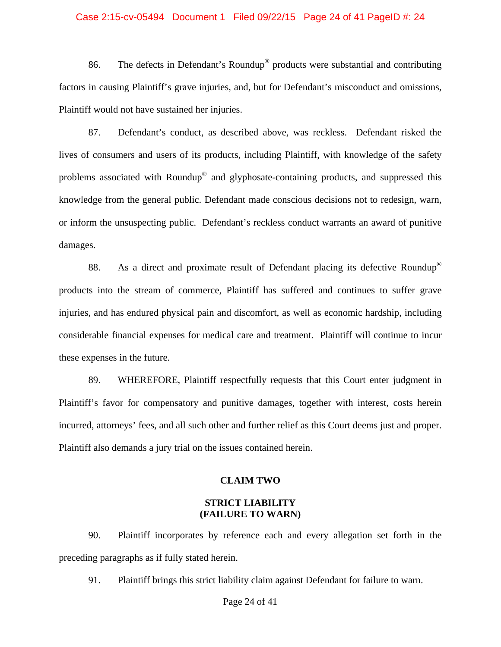#### Case 2:15-cv-05494 Document 1 Filed 09/22/15 Page 24 of 41 PageID #: 24

86. The defects in Defendant's Roundup® products were substantial and contributing factors in causing Plaintiff's grave injuries, and, but for Defendant's misconduct and omissions, Plaintiff would not have sustained her injuries.

87. Defendant's conduct, as described above, was reckless. Defendant risked the lives of consumers and users of its products, including Plaintiff, with knowledge of the safety problems associated with Roundup® and glyphosate-containing products, and suppressed this knowledge from the general public. Defendant made conscious decisions not to redesign, warn, or inform the unsuspecting public. Defendant's reckless conduct warrants an award of punitive damages.

88. As a direct and proximate result of Defendant placing its defective Roundup<sup>®</sup> products into the stream of commerce, Plaintiff has suffered and continues to suffer grave injuries, and has endured physical pain and discomfort, as well as economic hardship, including considerable financial expenses for medical care and treatment. Plaintiff will continue to incur these expenses in the future.

89. WHEREFORE, Plaintiff respectfully requests that this Court enter judgment in Plaintiff's favor for compensatory and punitive damages, together with interest, costs herein incurred, attorneys' fees, and all such other and further relief as this Court deems just and proper. Plaintiff also demands a jury trial on the issues contained herein.

#### **CLAIM TWO**

#### **STRICT LIABILITY (FAILURE TO WARN)**

90. Plaintiff incorporates by reference each and every allegation set forth in the preceding paragraphs as if fully stated herein.

91. Plaintiff brings this strict liability claim against Defendant for failure to warn.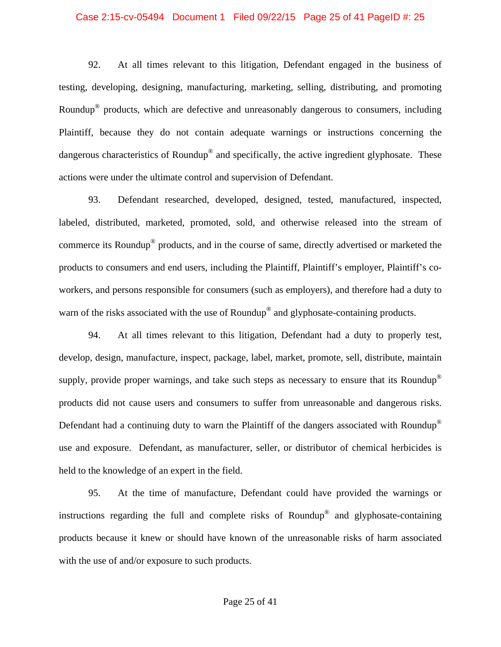#### Case 2:15-cv-05494 Document 1 Filed 09/22/15 Page 25 of 41 PageID #: 25

92. At all times relevant to this litigation, Defendant engaged in the business of testing, developing, designing, manufacturing, marketing, selling, distributing, and promoting Roundup® products, which are defective and unreasonably dangerous to consumers, including Plaintiff, because they do not contain adequate warnings or instructions concerning the dangerous characteristics of Roundup<sup>®</sup> and specifically, the active ingredient glyphosate. These actions were under the ultimate control and supervision of Defendant.

93. Defendant researched, developed, designed, tested, manufactured, inspected, labeled, distributed, marketed, promoted, sold, and otherwise released into the stream of commerce its Roundup® products, and in the course of same, directly advertised or marketed the products to consumers and end users, including the Plaintiff, Plaintiff's employer, Plaintiff's coworkers, and persons responsible for consumers (such as employers), and therefore had a duty to warn of the risks associated with the use of Roundup<sup>®</sup> and glyphosate-containing products.

94. At all times relevant to this litigation, Defendant had a duty to properly test, develop, design, manufacture, inspect, package, label, market, promote, sell, distribute, maintain supply, provide proper warnings, and take such steps as necessary to ensure that its Roundup<sup>®</sup> products did not cause users and consumers to suffer from unreasonable and dangerous risks. Defendant had a continuing duty to warn the Plaintiff of the dangers associated with Roundup® use and exposure. Defendant, as manufacturer, seller, or distributor of chemical herbicides is held to the knowledge of an expert in the field.

95. At the time of manufacture, Defendant could have provided the warnings or instructions regarding the full and complete risks of Roundup® and glyphosate-containing products because it knew or should have known of the unreasonable risks of harm associated with the use of and/or exposure to such products.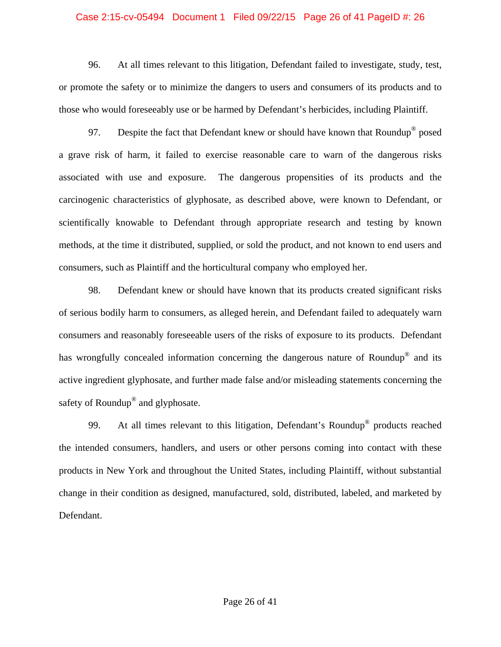#### Case 2:15-cv-05494 Document 1 Filed 09/22/15 Page 26 of 41 PageID #: 26

96. At all times relevant to this litigation, Defendant failed to investigate, study, test, or promote the safety or to minimize the dangers to users and consumers of its products and to those who would foreseeably use or be harmed by Defendant's herbicides, including Plaintiff.

97. Despite the fact that Defendant knew or should have known that Roundup<sup>®</sup> posed a grave risk of harm, it failed to exercise reasonable care to warn of the dangerous risks associated with use and exposure. The dangerous propensities of its products and the carcinogenic characteristics of glyphosate, as described above, were known to Defendant, or scientifically knowable to Defendant through appropriate research and testing by known methods, at the time it distributed, supplied, or sold the product, and not known to end users and consumers, such as Plaintiff and the horticultural company who employed her.

98. Defendant knew or should have known that its products created significant risks of serious bodily harm to consumers, as alleged herein, and Defendant failed to adequately warn consumers and reasonably foreseeable users of the risks of exposure to its products. Defendant has wrongfully concealed information concerning the dangerous nature of Roundup<sup>®</sup> and its active ingredient glyphosate, and further made false and/or misleading statements concerning the safety of Roundup® and glyphosate.

99. At all times relevant to this litigation, Defendant's Roundup® products reached the intended consumers, handlers, and users or other persons coming into contact with these products in New York and throughout the United States, including Plaintiff, without substantial change in their condition as designed, manufactured, sold, distributed, labeled, and marketed by Defendant.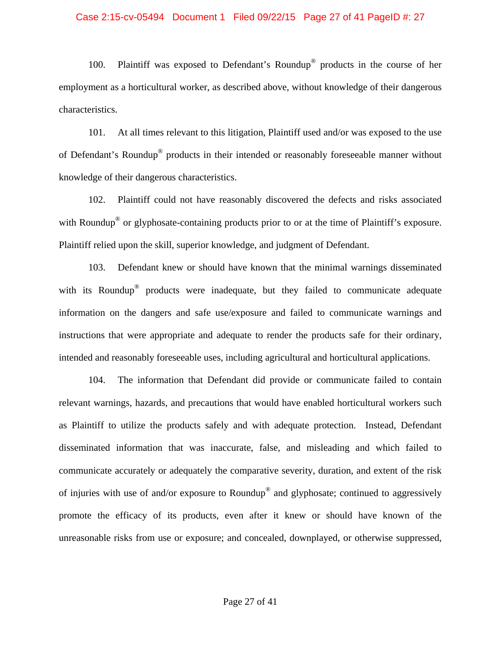#### Case 2:15-cv-05494 Document 1 Filed 09/22/15 Page 27 of 41 PageID #: 27

100. Plaintiff was exposed to Defendant's Roundup® products in the course of her employment as a horticultural worker, as described above, without knowledge of their dangerous characteristics.

101. At all times relevant to this litigation, Plaintiff used and/or was exposed to the use of Defendant's Roundup® products in their intended or reasonably foreseeable manner without knowledge of their dangerous characteristics.

102. Plaintiff could not have reasonably discovered the defects and risks associated with Roundup<sup>®</sup> or glyphosate-containing products prior to or at the time of Plaintiff's exposure. Plaintiff relied upon the skill, superior knowledge, and judgment of Defendant.

103. Defendant knew or should have known that the minimal warnings disseminated with its Roundup<sup>®</sup> products were inadequate, but they failed to communicate adequate information on the dangers and safe use/exposure and failed to communicate warnings and instructions that were appropriate and adequate to render the products safe for their ordinary, intended and reasonably foreseeable uses, including agricultural and horticultural applications.

104. The information that Defendant did provide or communicate failed to contain relevant warnings, hazards, and precautions that would have enabled horticultural workers such as Plaintiff to utilize the products safely and with adequate protection. Instead, Defendant disseminated information that was inaccurate, false, and misleading and which failed to communicate accurately or adequately the comparative severity, duration, and extent of the risk of injuries with use of and/or exposure to Roundup® and glyphosate; continued to aggressively promote the efficacy of its products, even after it knew or should have known of the unreasonable risks from use or exposure; and concealed, downplayed, or otherwise suppressed,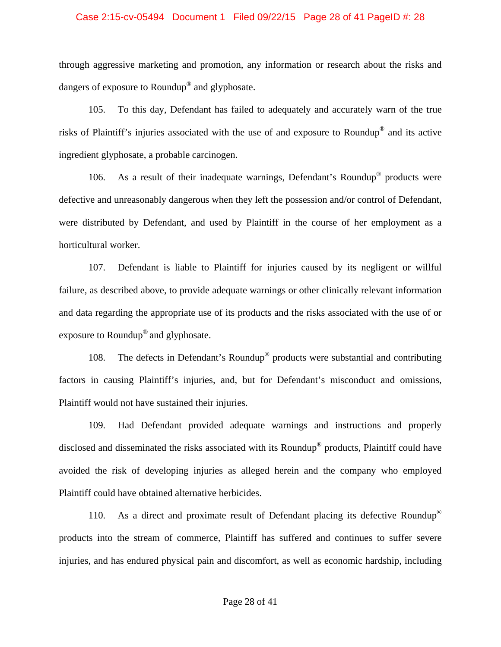#### Case 2:15-cv-05494 Document 1 Filed 09/22/15 Page 28 of 41 PageID #: 28

through aggressive marketing and promotion, any information or research about the risks and dangers of exposure to Roundup® and glyphosate.

105. To this day, Defendant has failed to adequately and accurately warn of the true risks of Plaintiff's injuries associated with the use of and exposure to Roundup® and its active ingredient glyphosate, a probable carcinogen.

106. As a result of their inadequate warnings, Defendant's Roundup® products were defective and unreasonably dangerous when they left the possession and/or control of Defendant, were distributed by Defendant, and used by Plaintiff in the course of her employment as a horticultural worker.

107. Defendant is liable to Plaintiff for injuries caused by its negligent or willful failure, as described above, to provide adequate warnings or other clinically relevant information and data regarding the appropriate use of its products and the risks associated with the use of or exposure to Roundup® and glyphosate.

108. The defects in Defendant's Roundup® products were substantial and contributing factors in causing Plaintiff's injuries, and, but for Defendant's misconduct and omissions, Plaintiff would not have sustained their injuries.

109. Had Defendant provided adequate warnings and instructions and properly disclosed and disseminated the risks associated with its Roundup® products, Plaintiff could have avoided the risk of developing injuries as alleged herein and the company who employed Plaintiff could have obtained alternative herbicides.

110. As a direct and proximate result of Defendant placing its defective Roundup<sup>®</sup> products into the stream of commerce, Plaintiff has suffered and continues to suffer severe injuries, and has endured physical pain and discomfort, as well as economic hardship, including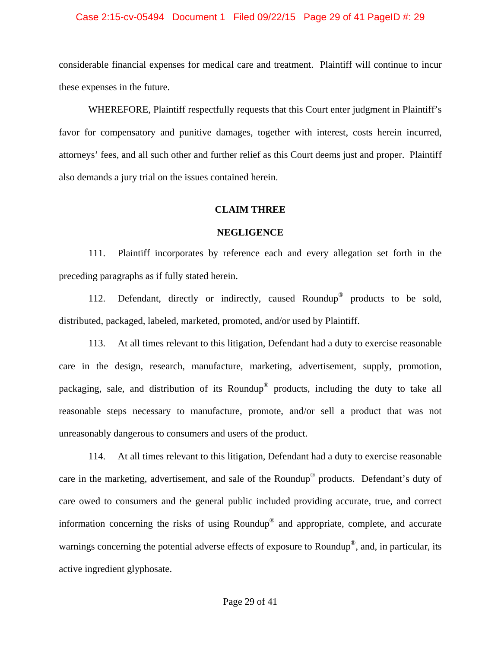#### Case 2:15-cv-05494 Document 1 Filed 09/22/15 Page 29 of 41 PageID #: 29

considerable financial expenses for medical care and treatment. Plaintiff will continue to incur these expenses in the future.

WHEREFORE, Plaintiff respectfully requests that this Court enter judgment in Plaintiff's favor for compensatory and punitive damages, together with interest, costs herein incurred, attorneys' fees, and all such other and further relief as this Court deems just and proper. Plaintiff also demands a jury trial on the issues contained herein.

#### **CLAIM THREE**

#### **NEGLIGENCE**

111. Plaintiff incorporates by reference each and every allegation set forth in the preceding paragraphs as if fully stated herein.

112. Defendant, directly or indirectly, caused Roundup<sup>®</sup> products to be sold, distributed, packaged, labeled, marketed, promoted, and/or used by Plaintiff.

113. At all times relevant to this litigation, Defendant had a duty to exercise reasonable care in the design, research, manufacture, marketing, advertisement, supply, promotion, packaging, sale, and distribution of its Roundup® products, including the duty to take all reasonable steps necessary to manufacture, promote, and/or sell a product that was not unreasonably dangerous to consumers and users of the product.

114. At all times relevant to this litigation, Defendant had a duty to exercise reasonable care in the marketing, advertisement, and sale of the Roundup® products. Defendant's duty of care owed to consumers and the general public included providing accurate, true, and correct information concerning the risks of using Roundup® and appropriate, complete, and accurate warnings concerning the potential adverse effects of exposure to Roundup<sup>®</sup>, and, in particular, its active ingredient glyphosate.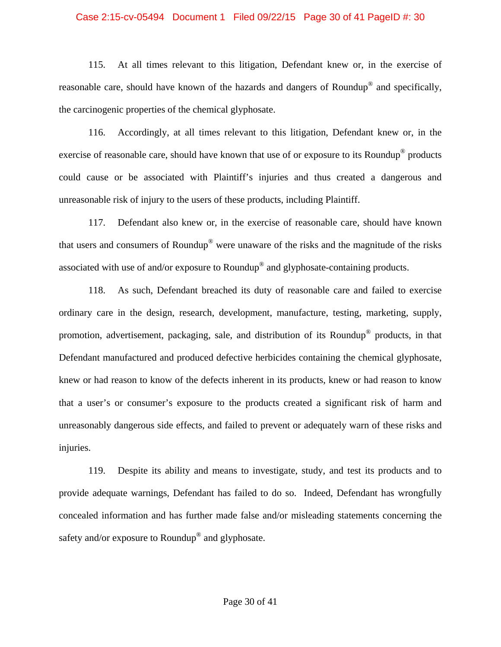#### Case 2:15-cv-05494 Document 1 Filed 09/22/15 Page 30 of 41 PageID #: 30

115. At all times relevant to this litigation, Defendant knew or, in the exercise of reasonable care, should have known of the hazards and dangers of Roundup® and specifically, the carcinogenic properties of the chemical glyphosate.

116. Accordingly, at all times relevant to this litigation, Defendant knew or, in the exercise of reasonable care, should have known that use of or exposure to its Roundup<sup>®</sup> products could cause or be associated with Plaintiff's injuries and thus created a dangerous and unreasonable risk of injury to the users of these products, including Plaintiff.

117. Defendant also knew or, in the exercise of reasonable care, should have known that users and consumers of Roundup® were unaware of the risks and the magnitude of the risks associated with use of and/or exposure to Roundup® and glyphosate-containing products.

118. As such, Defendant breached its duty of reasonable care and failed to exercise ordinary care in the design, research, development, manufacture, testing, marketing, supply, promotion, advertisement, packaging, sale, and distribution of its Roundup® products, in that Defendant manufactured and produced defective herbicides containing the chemical glyphosate, knew or had reason to know of the defects inherent in its products, knew or had reason to know that a user's or consumer's exposure to the products created a significant risk of harm and unreasonably dangerous side effects, and failed to prevent or adequately warn of these risks and injuries.

119. Despite its ability and means to investigate, study, and test its products and to provide adequate warnings, Defendant has failed to do so. Indeed, Defendant has wrongfully concealed information and has further made false and/or misleading statements concerning the safety and/or exposure to Roundup<sup>®</sup> and glyphosate.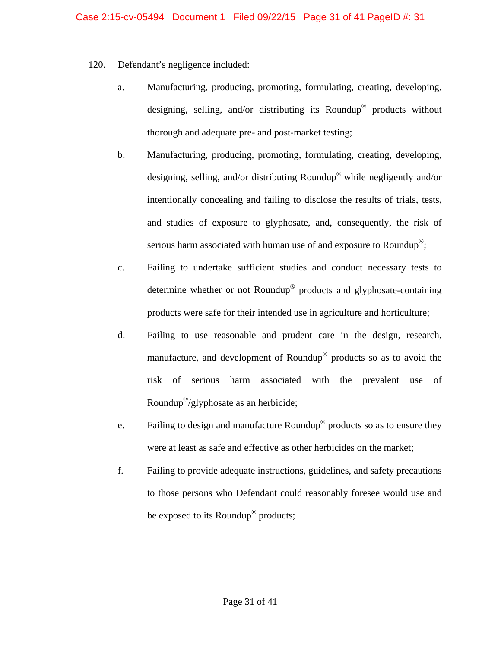- 120. Defendant's negligence included:
	- a. Manufacturing, producing, promoting, formulating, creating, developing, designing, selling, and/or distributing its Roundup<sup>®</sup> products without thorough and adequate pre- and post-market testing;
	- b. Manufacturing, producing, promoting, formulating, creating, developing, designing, selling, and/or distributing Roundup® while negligently and/or intentionally concealing and failing to disclose the results of trials, tests, and studies of exposure to glyphosate, and, consequently, the risk of serious harm associated with human use of and exposure to Roundup<sup>®</sup>;
	- c. Failing to undertake sufficient studies and conduct necessary tests to determine whether or not Roundup® products and glyphosate-containing products were safe for their intended use in agriculture and horticulture;
	- d. Failing to use reasonable and prudent care in the design, research, manufacture, and development of Roundup® products so as to avoid the risk of serious harm associated with the prevalent use of Roundup®/glyphosate as an herbicide;
	- e. Failing to design and manufacture Roundup® products so as to ensure they were at least as safe and effective as other herbicides on the market;
	- f. Failing to provide adequate instructions, guidelines, and safety precautions to those persons who Defendant could reasonably foresee would use and be exposed to its Roundup<sup>®</sup> products;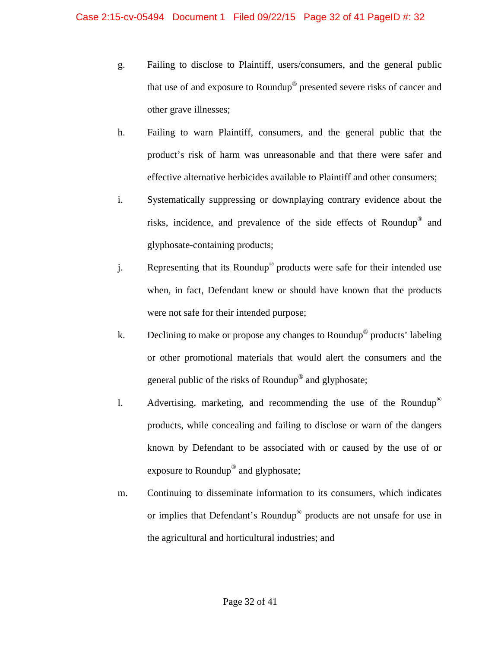- g. Failing to disclose to Plaintiff, users/consumers, and the general public that use of and exposure to Roundup® presented severe risks of cancer and other grave illnesses;
- h. Failing to warn Plaintiff, consumers, and the general public that the product's risk of harm was unreasonable and that there were safer and effective alternative herbicides available to Plaintiff and other consumers;
- i. Systematically suppressing or downplaying contrary evidence about the risks, incidence, and prevalence of the side effects of Roundup® and glyphosate-containing products;
- j. Representing that its Roundup® products were safe for their intended use when, in fact, Defendant knew or should have known that the products were not safe for their intended purpose;
- k. Declining to make or propose any changes to Roundup® products' labeling or other promotional materials that would alert the consumers and the general public of the risks of Roundup® and glyphosate;
- l. Advertising, marketing, and recommending the use of the Roundup® products, while concealing and failing to disclose or warn of the dangers known by Defendant to be associated with or caused by the use of or exposure to Roundup® and glyphosate;
- m. Continuing to disseminate information to its consumers, which indicates or implies that Defendant's Roundup® products are not unsafe for use in the agricultural and horticultural industries; and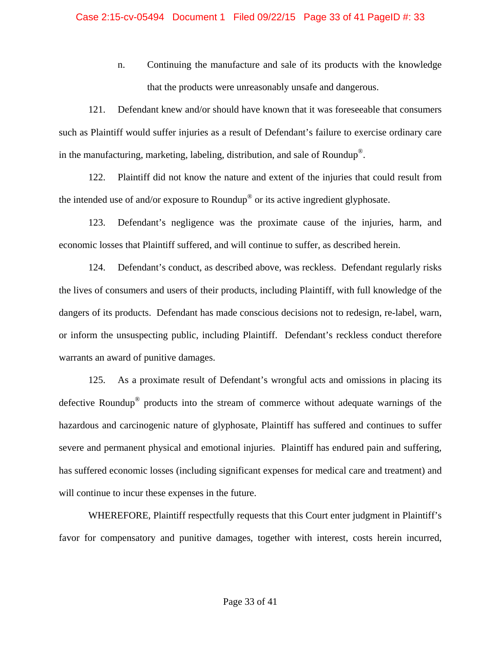n. Continuing the manufacture and sale of its products with the knowledge that the products were unreasonably unsafe and dangerous.

121. Defendant knew and/or should have known that it was foreseeable that consumers such as Plaintiff would suffer injuries as a result of Defendant's failure to exercise ordinary care in the manufacturing, marketing, labeling, distribution, and sale of Roundup®.

122. Plaintiff did not know the nature and extent of the injuries that could result from the intended use of and/or exposure to Roundup® or its active ingredient glyphosate.

123. Defendant's negligence was the proximate cause of the injuries, harm, and economic losses that Plaintiff suffered, and will continue to suffer, as described herein.

124. Defendant's conduct, as described above, was reckless. Defendant regularly risks the lives of consumers and users of their products, including Plaintiff, with full knowledge of the dangers of its products. Defendant has made conscious decisions not to redesign, re-label, warn, or inform the unsuspecting public, including Plaintiff. Defendant's reckless conduct therefore warrants an award of punitive damages.

125. As a proximate result of Defendant's wrongful acts and omissions in placing its defective Roundup® products into the stream of commerce without adequate warnings of the hazardous and carcinogenic nature of glyphosate, Plaintiff has suffered and continues to suffer severe and permanent physical and emotional injuries. Plaintiff has endured pain and suffering, has suffered economic losses (including significant expenses for medical care and treatment) and will continue to incur these expenses in the future.

 WHEREFORE, Plaintiff respectfully requests that this Court enter judgment in Plaintiff's favor for compensatory and punitive damages, together with interest, costs herein incurred,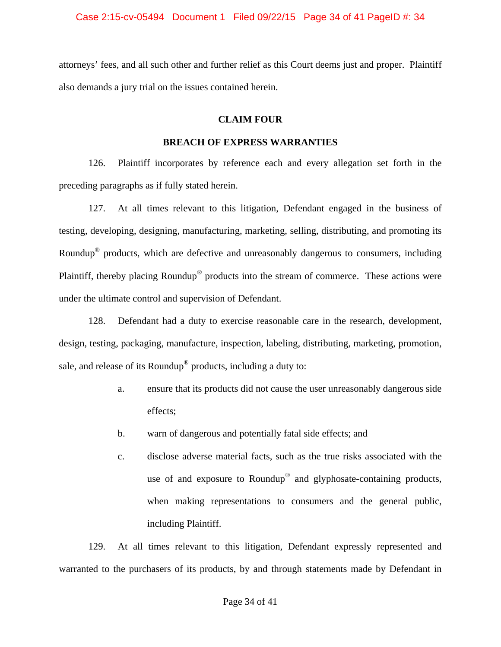attorneys' fees, and all such other and further relief as this Court deems just and proper. Plaintiff also demands a jury trial on the issues contained herein.

# **CLAIM FOUR**

# **BREACH OF EXPRESS WARRANTIES**

126. Plaintiff incorporates by reference each and every allegation set forth in the preceding paragraphs as if fully stated herein.

127. At all times relevant to this litigation, Defendant engaged in the business of testing, developing, designing, manufacturing, marketing, selling, distributing, and promoting its Roundup® products, which are defective and unreasonably dangerous to consumers, including Plaintiff, thereby placing Roundup® products into the stream of commerce. These actions were under the ultimate control and supervision of Defendant.

128. Defendant had a duty to exercise reasonable care in the research, development, design, testing, packaging, manufacture, inspection, labeling, distributing, marketing, promotion, sale, and release of its Roundup<sup>®</sup> products, including a duty to:

- a. ensure that its products did not cause the user unreasonably dangerous side effects;
- b. warn of dangerous and potentially fatal side effects; and
- c. disclose adverse material facts, such as the true risks associated with the use of and exposure to Roundup® and glyphosate-containing products, when making representations to consumers and the general public, including Plaintiff.

129. At all times relevant to this litigation, Defendant expressly represented and warranted to the purchasers of its products, by and through statements made by Defendant in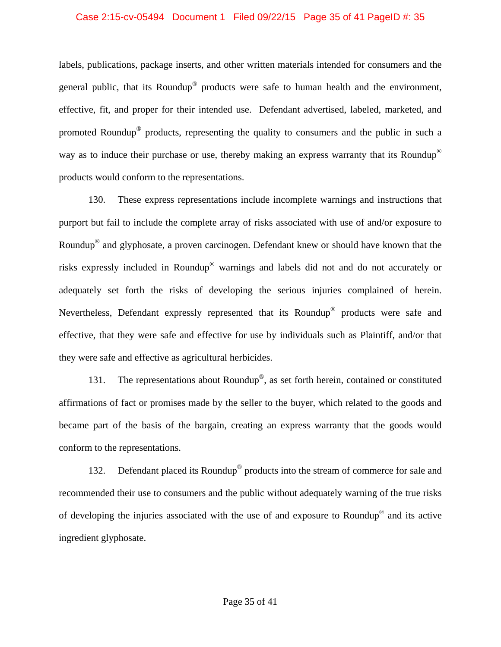#### Case 2:15-cv-05494 Document 1 Filed 09/22/15 Page 35 of 41 PageID #: 35

labels, publications, package inserts, and other written materials intended for consumers and the general public, that its Roundup® products were safe to human health and the environment, effective, fit, and proper for their intended use. Defendant advertised, labeled, marketed, and promoted Roundup® products, representing the quality to consumers and the public in such a way as to induce their purchase or use, thereby making an express warranty that its Roundup<sup>®</sup> products would conform to the representations.

130. These express representations include incomplete warnings and instructions that purport but fail to include the complete array of risks associated with use of and/or exposure to Roundup® and glyphosate, a proven carcinogen. Defendant knew or should have known that the risks expressly included in Roundup® warnings and labels did not and do not accurately or adequately set forth the risks of developing the serious injuries complained of herein. Nevertheless, Defendant expressly represented that its Roundup® products were safe and effective, that they were safe and effective for use by individuals such as Plaintiff, and/or that they were safe and effective as agricultural herbicides.

131. The representations about Roundup<sup>®</sup>, as set forth herein, contained or constituted affirmations of fact or promises made by the seller to the buyer, which related to the goods and became part of the basis of the bargain, creating an express warranty that the goods would conform to the representations.

132. Defendant placed its Roundup<sup>®</sup> products into the stream of commerce for sale and recommended their use to consumers and the public without adequately warning of the true risks of developing the injuries associated with the use of and exposure to Roundup® and its active ingredient glyphosate.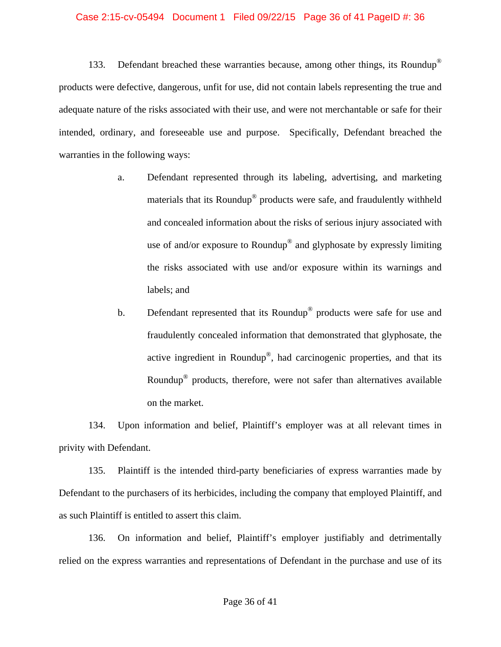#### Case 2:15-cv-05494 Document 1 Filed 09/22/15 Page 36 of 41 PageID #: 36

133. Defendant breached these warranties because, among other things, its Roundup® products were defective, dangerous, unfit for use, did not contain labels representing the true and adequate nature of the risks associated with their use, and were not merchantable or safe for their intended, ordinary, and foreseeable use and purpose. Specifically, Defendant breached the warranties in the following ways:

- a. Defendant represented through its labeling, advertising, and marketing materials that its Roundup® products were safe, and fraudulently withheld and concealed information about the risks of serious injury associated with use of and/or exposure to Roundup<sup>®</sup> and glyphosate by expressly limiting the risks associated with use and/or exposure within its warnings and labels; and
- b. Defendant represented that its Roundup<sup>®</sup> products were safe for use and fraudulently concealed information that demonstrated that glyphosate, the active ingredient in Roundup®, had carcinogenic properties, and that its Roundup® products, therefore, were not safer than alternatives available on the market.

134. Upon information and belief, Plaintiff's employer was at all relevant times in privity with Defendant.

135. Plaintiff is the intended third-party beneficiaries of express warranties made by Defendant to the purchasers of its herbicides, including the company that employed Plaintiff, and as such Plaintiff is entitled to assert this claim.

136. On information and belief, Plaintiff's employer justifiably and detrimentally relied on the express warranties and representations of Defendant in the purchase and use of its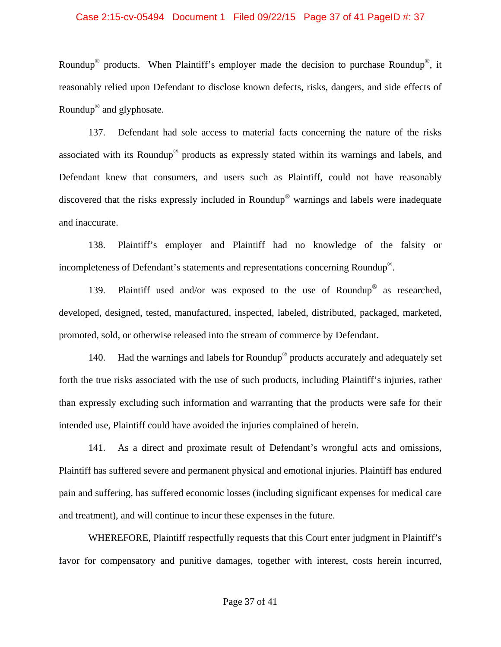#### Case 2:15-cv-05494 Document 1 Filed 09/22/15 Page 37 of 41 PageID #: 37

Roundup<sup>®</sup> products. When Plaintiff's employer made the decision to purchase Roundup<sup>®</sup>, it reasonably relied upon Defendant to disclose known defects, risks, dangers, and side effects of Roundup® and glyphosate.

137. Defendant had sole access to material facts concerning the nature of the risks associated with its Roundup® products as expressly stated within its warnings and labels, and Defendant knew that consumers, and users such as Plaintiff, could not have reasonably discovered that the risks expressly included in Roundup® warnings and labels were inadequate and inaccurate.

138. Plaintiff's employer and Plaintiff had no knowledge of the falsity or incompleteness of Defendant's statements and representations concerning Roundup®.

139. Plaintiff used and/or was exposed to the use of Roundup<sup>®</sup> as researched, developed, designed, tested, manufactured, inspected, labeled, distributed, packaged, marketed, promoted, sold, or otherwise released into the stream of commerce by Defendant.

140. Had the warnings and labels for Roundup<sup>®</sup> products accurately and adequately set forth the true risks associated with the use of such products, including Plaintiff's injuries, rather than expressly excluding such information and warranting that the products were safe for their intended use, Plaintiff could have avoided the injuries complained of herein.

141. As a direct and proximate result of Defendant's wrongful acts and omissions, Plaintiff has suffered severe and permanent physical and emotional injuries. Plaintiff has endured pain and suffering, has suffered economic losses (including significant expenses for medical care and treatment), and will continue to incur these expenses in the future.

WHEREFORE, Plaintiff respectfully requests that this Court enter judgment in Plaintiff's favor for compensatory and punitive damages, together with interest, costs herein incurred,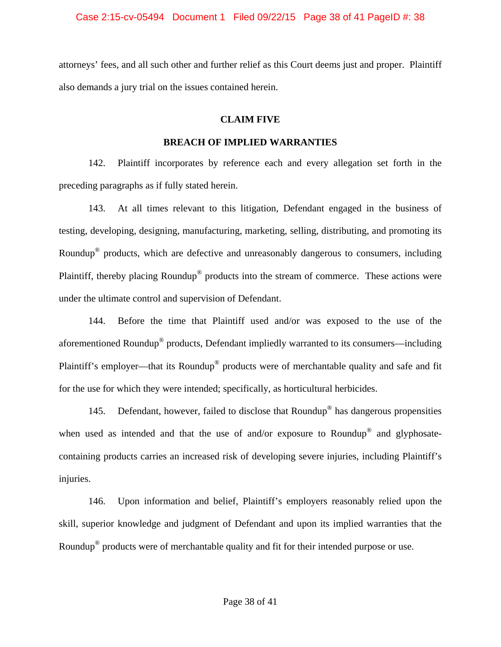attorneys' fees, and all such other and further relief as this Court deems just and proper. Plaintiff also demands a jury trial on the issues contained herein.

# **CLAIM FIVE**

# **BREACH OF IMPLIED WARRANTIES**

142. Plaintiff incorporates by reference each and every allegation set forth in the preceding paragraphs as if fully stated herein.

143. At all times relevant to this litigation, Defendant engaged in the business of testing, developing, designing, manufacturing, marketing, selling, distributing, and promoting its Roundup® products, which are defective and unreasonably dangerous to consumers, including Plaintiff, thereby placing Roundup® products into the stream of commerce. These actions were under the ultimate control and supervision of Defendant.

144. Before the time that Plaintiff used and/or was exposed to the use of the aforementioned Roundup® products, Defendant impliedly warranted to its consumers—including Plaintiff's employer—that its Roundup<sup>®</sup> products were of merchantable quality and safe and fit for the use for which they were intended; specifically, as horticultural herbicides.

145. Defendant, however, failed to disclose that Roundup® has dangerous propensities when used as intended and that the use of and/or exposure to Roundup<sup>®</sup> and glyphosatecontaining products carries an increased risk of developing severe injuries, including Plaintiff's injuries.

146. Upon information and belief, Plaintiff's employers reasonably relied upon the skill, superior knowledge and judgment of Defendant and upon its implied warranties that the Roundup<sup>®</sup> products were of merchantable quality and fit for their intended purpose or use.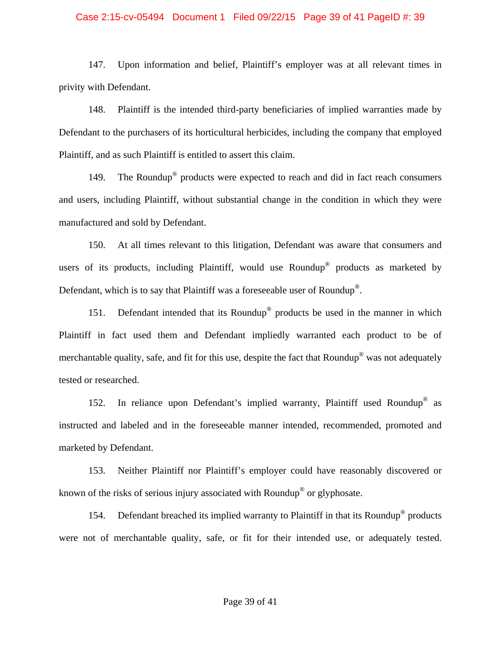#### Case 2:15-cv-05494 Document 1 Filed 09/22/15 Page 39 of 41 PageID #: 39

147. Upon information and belief, Plaintiff's employer was at all relevant times in privity with Defendant.

148. Plaintiff is the intended third-party beneficiaries of implied warranties made by Defendant to the purchasers of its horticultural herbicides, including the company that employed Plaintiff, and as such Plaintiff is entitled to assert this claim.

149. The Roundup<sup>®</sup> products were expected to reach and did in fact reach consumers and users, including Plaintiff, without substantial change in the condition in which they were manufactured and sold by Defendant.

150. At all times relevant to this litigation, Defendant was aware that consumers and users of its products, including Plaintiff, would use Roundup<sup>®</sup> products as marketed by Defendant, which is to say that Plaintiff was a foreseeable user of Roundup®.

151. Defendant intended that its Roundup<sup>®</sup> products be used in the manner in which Plaintiff in fact used them and Defendant impliedly warranted each product to be of merchantable quality, safe, and fit for this use, despite the fact that Roundup<sup>®</sup> was not adequately tested or researched.

152. In reliance upon Defendant's implied warranty, Plaintiff used Roundup® as instructed and labeled and in the foreseeable manner intended, recommended, promoted and marketed by Defendant.

153. Neither Plaintiff nor Plaintiff's employer could have reasonably discovered or known of the risks of serious injury associated with Roundup® or glyphosate.

154. Defendant breached its implied warranty to Plaintiff in that its Roundup<sup>®</sup> products were not of merchantable quality, safe, or fit for their intended use, or adequately tested.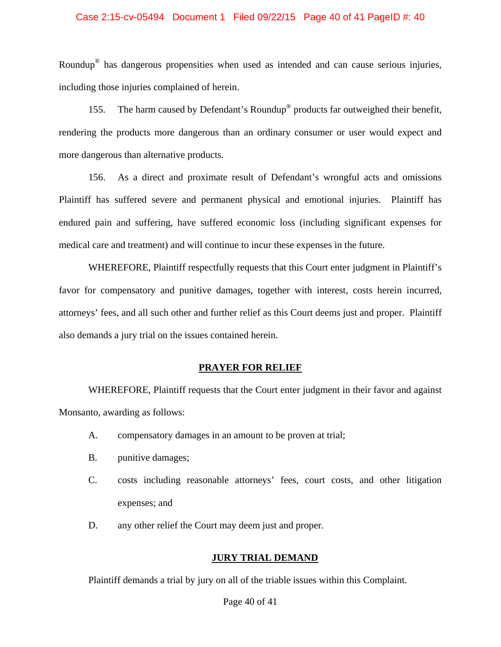#### Case 2:15-cv-05494 Document 1 Filed 09/22/15 Page 40 of 41 PageID #: 40

Roundup® has dangerous propensities when used as intended and can cause serious injuries, including those injuries complained of herein.

155. The harm caused by Defendant's Roundup® products far outweighed their benefit, rendering the products more dangerous than an ordinary consumer or user would expect and more dangerous than alternative products.

156. As a direct and proximate result of Defendant's wrongful acts and omissions Plaintiff has suffered severe and permanent physical and emotional injuries. Plaintiff has endured pain and suffering, have suffered economic loss (including significant expenses for medical care and treatment) and will continue to incur these expenses in the future.

 WHEREFORE, Plaintiff respectfully requests that this Court enter judgment in Plaintiff's favor for compensatory and punitive damages, together with interest, costs herein incurred, attorneys' fees, and all such other and further relief as this Court deems just and proper. Plaintiff also demands a jury trial on the issues contained herein.

#### **PRAYER FOR RELIEF**

 WHEREFORE, Plaintiff requests that the Court enter judgment in their favor and against Monsanto, awarding as follows:

- A. compensatory damages in an amount to be proven at trial;
- B. punitive damages;
- C. costs including reasonable attorneys' fees, court costs, and other litigation expenses; and
- D. any other relief the Court may deem just and proper.

#### **JURY TRIAL DEMAND**

Plaintiff demands a trial by jury on all of the triable issues within this Complaint.

#### Page 40 of 41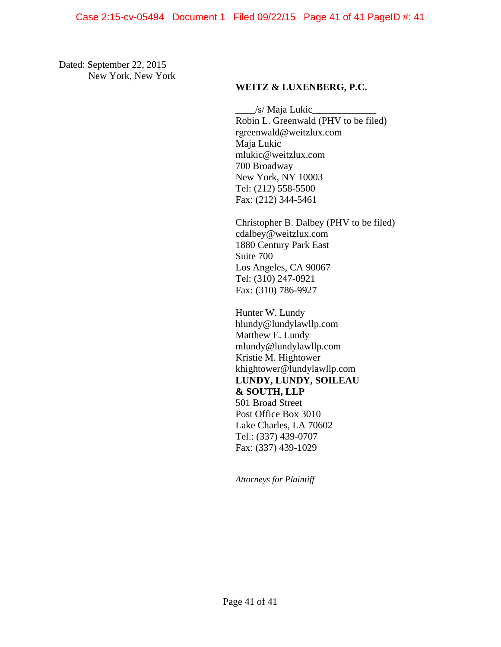Dated: September 22, 2015 New York, New York

## **WEITZ & LUXENBERG, P.C.**

 \_\_\_\_/s/ Maja Lukic\_\_\_\_\_\_\_\_\_\_\_\_\_ Robin L. Greenwald (PHV to be filed) rgreenwald@weitzlux.com Maja Lukic mlukic@weitzlux.com 700 Broadway New York, NY 10003 Tel: (212) 558-5500 Fax: (212) 344-5461

Christopher B. Dalbey (PHV to be filed) cdalbey@weitzlux.com 1880 Century Park East Suite 700 Los Angeles, CA 90067 Tel: (310) 247-0921 Fax: (310) 786-9927

 Hunter W. Lundy hlundy@lundylawllp.com Matthew E. Lundy mlundy@lundylawllp.com Kristie M. Hightower khightower@lundylawllp.com **LUNDY, LUNDY, SOILEAU & SOUTH, LLP**  501 Broad Street Post Office Box 3010 Lake Charles, LA 70602 Tel.: (337) 439-0707 Fax: (337) 439-1029

*Attorneys for Plaintiff*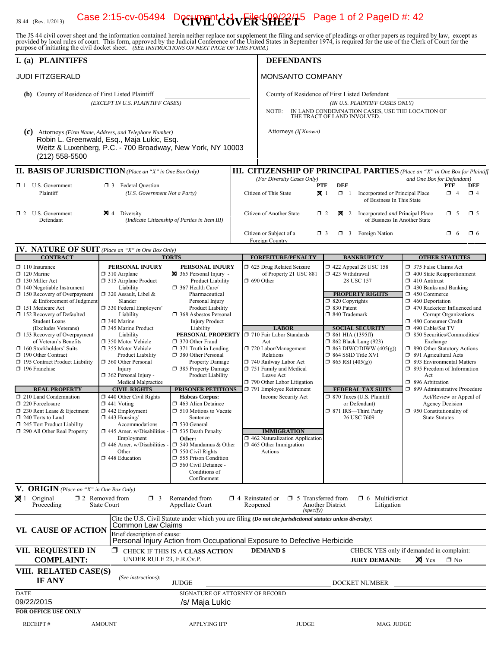# IS 44 (Rev. 1/2013) **Case 2:15-cv-05494** Decrement  $\frac{1}{2}$   $\frac{1}{2}$   $\frac{1}{2}$   $\frac{1}{2}$   $\frac{1}{2}$   $\frac{1}{2}$   $\frac{1}{2}$   $\frac{1}{2}$   $\frac{1}{2}$   $\frac{1}{2}$   $\frac{1}{2}$   $\frac{1}{2}$   $\frac{1}{2}$   $\frac{1}{2}$   $\frac{1}{2}$   $\frac{1}{2}$   $\frac{1}{2}$

The JS 44 civil cover sheet and the information contained herein neither replace nor supplement the filing and service of pleadings or other papers as required by law, except as provided by local rules of court. This form,

| I. (a) PLAINTIFFS                                                                                                                                                                                                                                                                                                                                                                                                                                                           |                                                                                                                                                                                                                                                                                                                                                                                             |                                                                                                                                                                                                                                                                                                                                                                                                                           | <b>DEFENDANTS</b>                                                                                                                                                                                                                                                                         |                                                                                                                                                                                                                                                                                                                                                                 |                                                                                                                                                                                                                                                                                                                                                                                                                                                                                                                                                                                                                            |  |  |  |
|-----------------------------------------------------------------------------------------------------------------------------------------------------------------------------------------------------------------------------------------------------------------------------------------------------------------------------------------------------------------------------------------------------------------------------------------------------------------------------|---------------------------------------------------------------------------------------------------------------------------------------------------------------------------------------------------------------------------------------------------------------------------------------------------------------------------------------------------------------------------------------------|---------------------------------------------------------------------------------------------------------------------------------------------------------------------------------------------------------------------------------------------------------------------------------------------------------------------------------------------------------------------------------------------------------------------------|-------------------------------------------------------------------------------------------------------------------------------------------------------------------------------------------------------------------------------------------------------------------------------------------|-----------------------------------------------------------------------------------------------------------------------------------------------------------------------------------------------------------------------------------------------------------------------------------------------------------------------------------------------------------------|----------------------------------------------------------------------------------------------------------------------------------------------------------------------------------------------------------------------------------------------------------------------------------------------------------------------------------------------------------------------------------------------------------------------------------------------------------------------------------------------------------------------------------------------------------------------------------------------------------------------------|--|--|--|
| <b>JUDI FITZGERALD</b>                                                                                                                                                                                                                                                                                                                                                                                                                                                      |                                                                                                                                                                                                                                                                                                                                                                                             |                                                                                                                                                                                                                                                                                                                                                                                                                           | <b>MONSANTO COMPANY</b>                                                                                                                                                                                                                                                                   |                                                                                                                                                                                                                                                                                                                                                                 |                                                                                                                                                                                                                                                                                                                                                                                                                                                                                                                                                                                                                            |  |  |  |
| (b) County of Residence of First Listed Plaintiff<br>(c)                                                                                                                                                                                                                                                                                                                                                                                                                    | (EXCEPT IN U.S. PLAINTIFF CASES)<br>Attorneys (Firm Name, Address, and Telephone Number)<br>Robin L. Greenwald, Esq., Maja Lukic, Esq.<br>Weitz & Luxenberg, P.C. - 700 Broadway, New York, NY 10003                                                                                                                                                                                        |                                                                                                                                                                                                                                                                                                                                                                                                                           | County of Residence of First Listed Defendant<br>(IN U.S. PLAINTIFF CASES ONLY)<br>IN LAND CONDEMNATION CASES, USE THE LOCATION OF<br>NOTE:<br>THE TRACT OF LAND INVOLVED.<br>Attorneys (If Known)                                                                                        |                                                                                                                                                                                                                                                                                                                                                                 |                                                                                                                                                                                                                                                                                                                                                                                                                                                                                                                                                                                                                            |  |  |  |
| $(212)$ 558-5500                                                                                                                                                                                                                                                                                                                                                                                                                                                            |                                                                                                                                                                                                                                                                                                                                                                                             |                                                                                                                                                                                                                                                                                                                                                                                                                           |                                                                                                                                                                                                                                                                                           |                                                                                                                                                                                                                                                                                                                                                                 | <b>III. CITIZENSHIP OF PRINCIPAL PARTIES</b> (Place an "X" in One Box for Plaintiff                                                                                                                                                                                                                                                                                                                                                                                                                                                                                                                                        |  |  |  |
| $\Box$ 1 U.S. Government<br>Plaintiff                                                                                                                                                                                                                                                                                                                                                                                                                                       | <b>II. BASIS OF JURISDICTION</b> (Place an "X" in One Box Only)<br><b>1</b> 3 Federal Question<br>(U.S. Government Not a Party)                                                                                                                                                                                                                                                             |                                                                                                                                                                                                                                                                                                                                                                                                                           | (For Diversity Cases Only)<br>Citizen of This State                                                                                                                                                                                                                                       | <b>DEF</b><br><b>PTF</b><br>$\mathbf{X}$ 1<br>$\Box$ 1<br>Incorporated or Principal Place<br>of Business In This State                                                                                                                                                                                                                                          | and One Box for Defendant)<br>PTF<br>DEF<br>$\Box$ 4<br>$\Box$ 4                                                                                                                                                                                                                                                                                                                                                                                                                                                                                                                                                           |  |  |  |
| $\Box$ 2 U.S. Government<br>Defendant                                                                                                                                                                                                                                                                                                                                                                                                                                       | $\boxtimes$ 4 Diversity<br>(Indicate Citizenship of Parties in Item III)                                                                                                                                                                                                                                                                                                                    |                                                                                                                                                                                                                                                                                                                                                                                                                           | Citizen of Another State                                                                                                                                                                                                                                                                  | $\boxtimes$ 2 Incorporated <i>and</i> Principal Place<br>$\Box$ 2<br>of Business In Another State<br>$\Box$ 3 Foreign Nation<br>$\Box$ 3                                                                                                                                                                                                                        | $\square$ 5<br>$\Box$ 5<br>$\Box$ 6<br>$\Box$ 6                                                                                                                                                                                                                                                                                                                                                                                                                                                                                                                                                                            |  |  |  |
|                                                                                                                                                                                                                                                                                                                                                                                                                                                                             |                                                                                                                                                                                                                                                                                                                                                                                             |                                                                                                                                                                                                                                                                                                                                                                                                                           | Citizen or Subject of a<br>Foreign Country                                                                                                                                                                                                                                                |                                                                                                                                                                                                                                                                                                                                                                 |                                                                                                                                                                                                                                                                                                                                                                                                                                                                                                                                                                                                                            |  |  |  |
| <b>IV. NATURE OF SUIT</b> (Place an "X" in One Box Only)<br><b>CONTRACT</b>                                                                                                                                                                                                                                                                                                                                                                                                 |                                                                                                                                                                                                                                                                                                                                                                                             | <b>TORTS</b>                                                                                                                                                                                                                                                                                                                                                                                                              | <b>FORFEITURE/PENALTY</b>                                                                                                                                                                                                                                                                 | <b>BANKRUPTCY</b>                                                                                                                                                                                                                                                                                                                                               | <b>OTHER STATUTES</b>                                                                                                                                                                                                                                                                                                                                                                                                                                                                                                                                                                                                      |  |  |  |
| $\Box$ 110 Insurance<br>$\Box$ 120 Marine<br>130 Miller Act<br>$\Box$ 140 Negotiable Instrument<br>$\Box$ 150 Recovery of Overpayment<br>& Enforcement of Judgment<br>151 Medicare Act<br>152 Recovery of Defaulted<br><b>Student Loans</b><br>(Excludes Veterans)<br>$\Box$ 153 Recovery of Overpayment<br>of Veteran's Benefits<br>$\Box$ 160 Stockholders' Suits<br>190 Other Contract<br>195 Contract Product Liability<br>$\Box$ 196 Franchise<br><b>REAL PROPERTY</b> | PERSONAL INJURY<br>$\Box$ 310 Airplane<br>315 Airplane Product<br>Liability<br>$\Box$ 320 Assault, Libel &<br>Slander<br>□ 330 Federal Employers'<br>Liability<br>□ 340 Marine<br>345 Marine Product<br>Liability<br>□ 350 Motor Vehicle<br>□ 355 Motor Vehicle<br>Product Liability<br>360 Other Personal<br>Injury<br>362 Personal Injury -<br>Medical Malpractice<br><b>CIVIL RIGHTS</b> | PERSONAL INJURY<br>365 Personal Injury -<br>Product Liability<br>367 Health Care/<br>Pharmaceutical<br>Personal Injury<br><b>Product Liability</b><br><b>1368</b> Asbestos Personal<br><b>Injury Product</b><br>Liability<br>PERSONAL PROPERTY<br>370 Other Fraud<br>$\Box$ 371 Truth in Lending<br>380 Other Personal<br><b>Property Damage</b><br>385 Property Damage<br>Product Liability<br><b>PRISONER PETITIONS</b> | 1 625 Drug Related Seizure<br>of Property 21 USC 881<br>$\Box$ 690 Other<br><b>LABOR</b><br>710 Fair Labor Standards<br>Act<br>720 Labor/Management<br>Relations<br>740 Railway Labor Act<br>751 Family and Medical<br>Leave Act<br>790 Other Labor Litigation<br>791 Employee Retirement | 158 122 Appeal 28 USC 158<br>$\Box$ 423 Withdrawal<br>28 USC 157<br><b>PROPERTY RIGHTS</b><br>$\Box$ 820 Copyrights<br>□ 830 Patent<br>□ 840 Trademark<br><b>SOCIAL SECURITY</b><br>$\Box$ 861 HIA (1395ff)<br>$\Box$ 862 Black Lung (923)<br>$\Box$ 863 DIWC/DIWW (405(g))<br>$\Box$ 864 SSID Title XVI<br>$\Box$ 865 RSI (405(g))<br><b>FEDERAL TAX SUITS</b> | 375 False Claims Act<br>$\Box$ 400 State Reapportionment<br>$\Box$ 410 Antitrust<br>$\Box$ 430 Banks and Banking<br>450 Commerce<br>$\Box$ 460 Deportation<br>1 470 Racketeer Influenced and<br>Corrupt Organizations<br>480 Consumer Credit<br>490 Cable/Sat TV<br>□ 850 Securities/Commodities/<br>Exchange<br>□ 890 Other Statutory Actions<br>$\Box$ 891 Agricultural Acts<br>5 893 Environmental Matters<br>□ 895 Freedom of Information<br>Act<br>$\Box$ 896 Arbitration<br>□ 899 Administrative Procedure<br>Act/Review or Appeal of<br><b>Agency Decision</b><br>$\Box$ 950 Constitutionality of<br>State Statutes |  |  |  |
| 210 Land Condemnation<br>$\Box$ 220 Foreclosure<br>$\Box$ 230 Rent Lease & Ejectment<br>$\Box$ 240 Torts to Land<br>$\Box$ 245 Tort Product Liability<br>290 All Other Real Property                                                                                                                                                                                                                                                                                        | $\Box$ 440 Other Civil Rights<br>$\Box$ 441 Voting<br>$\square$ 442 Employment<br>$\Box$ 443 Housing/<br>Accommodations<br>$\Box$ 445 Amer. w/Disabilities<br>Employment<br>$\Box$ 446 Amer. w/Disabilities<br>Other<br>448 Education                                                                                                                                                       | <b>Habeas Corpus:</b><br>$\Box$ 463 Alien Detainee<br>$\Box$ 510 Motions to Vacate<br>Sentence<br>□ 530 General<br>535 Death Penalty<br>Other:<br>$\Box$ 540 Mandamus & Other<br>$\Box$ 550 Civil Rights<br>555 Prison Condition<br>560 Civil Detainee -<br>Conditions of<br>Confinement                                                                                                                                  | Income Security Act<br><b>IMMIGRATION</b><br>$\Box$ 462 Naturalization Application<br>$\Box$ 465 Other Immigration<br>Actions                                                                                                                                                             | 7 870 Taxes (U.S. Plaintiff<br>or Defendant)<br>□ 871 IRS-Third Party<br>26 USC 7609                                                                                                                                                                                                                                                                            |                                                                                                                                                                                                                                                                                                                                                                                                                                                                                                                                                                                                                            |  |  |  |
| V. ORIGIN (Place an "X" in One Box Only)                                                                                                                                                                                                                                                                                                                                                                                                                                    |                                                                                                                                                                                                                                                                                                                                                                                             |                                                                                                                                                                                                                                                                                                                                                                                                                           |                                                                                                                                                                                                                                                                                           |                                                                                                                                                                                                                                                                                                                                                                 |                                                                                                                                                                                                                                                                                                                                                                                                                                                                                                                                                                                                                            |  |  |  |
| $\boxtimes$ 1 Original<br>Proceeding                                                                                                                                                                                                                                                                                                                                                                                                                                        | $\Box$ 2 Removed from<br>$\Box$ 3<br>State Court                                                                                                                                                                                                                                                                                                                                            | Remanded from<br>Appellate Court                                                                                                                                                                                                                                                                                                                                                                                          | $\Box$ 4 Reinstated or<br>Reopened<br>(specify)                                                                                                                                                                                                                                           | $\Box$ 5 Transferred from<br>$\Box$ 6 Multidistrict<br>Another District<br>Litigation                                                                                                                                                                                                                                                                           |                                                                                                                                                                                                                                                                                                                                                                                                                                                                                                                                                                                                                            |  |  |  |
| VI. CAUSE OF ACTION                                                                                                                                                                                                                                                                                                                                                                                                                                                         | Common Law Claims<br>Brief description of cause:                                                                                                                                                                                                                                                                                                                                            |                                                                                                                                                                                                                                                                                                                                                                                                                           | Cite the U.S. Civil Statute under which you are filing (Do not cite jurisdictional statutes unless diversity):<br>Personal Injury Action from Occupational Exposure to Defective Herbicide                                                                                                |                                                                                                                                                                                                                                                                                                                                                                 |                                                                                                                                                                                                                                                                                                                                                                                                                                                                                                                                                                                                                            |  |  |  |
| VII. REQUESTED IN<br><b>COMPLAINT:</b>                                                                                                                                                                                                                                                                                                                                                                                                                                      | UNDER RULE 23, F.R.Cv.P.                                                                                                                                                                                                                                                                                                                                                                    | CHECK IF THIS IS A CLASS ACTION                                                                                                                                                                                                                                                                                                                                                                                           | <b>DEMAND</b> \$                                                                                                                                                                                                                                                                          | <b>JURY DEMAND:</b>                                                                                                                                                                                                                                                                                                                                             | CHECK YES only if demanded in complaint:<br>$\times$ Yes<br>$\Box$ No                                                                                                                                                                                                                                                                                                                                                                                                                                                                                                                                                      |  |  |  |
| VIII. RELATED CASE(S)<br>IF ANY                                                                                                                                                                                                                                                                                                                                                                                                                                             | (See instructions):                                                                                                                                                                                                                                                                                                                                                                         | <b>JUDGE</b>                                                                                                                                                                                                                                                                                                                                                                                                              |                                                                                                                                                                                                                                                                                           | DOCKET NUMBER                                                                                                                                                                                                                                                                                                                                                   |                                                                                                                                                                                                                                                                                                                                                                                                                                                                                                                                                                                                                            |  |  |  |
| <b>DATE</b><br>09/22/2015                                                                                                                                                                                                                                                                                                                                                                                                                                                   |                                                                                                                                                                                                                                                                                                                                                                                             | SIGNATURE OF ATTORNEY OF RECORD<br>/s/ Maja Lukic                                                                                                                                                                                                                                                                                                                                                                         |                                                                                                                                                                                                                                                                                           |                                                                                                                                                                                                                                                                                                                                                                 |                                                                                                                                                                                                                                                                                                                                                                                                                                                                                                                                                                                                                            |  |  |  |
| <b>FOR OFFICE USE ONLY</b><br><b>RECEIPT#</b>                                                                                                                                                                                                                                                                                                                                                                                                                               | <b>AMOUNT</b>                                                                                                                                                                                                                                                                                                                                                                               | <b>APPLYING IFP</b>                                                                                                                                                                                                                                                                                                                                                                                                       | <b>JUDGE</b>                                                                                                                                                                                                                                                                              | MAG. JUDGE                                                                                                                                                                                                                                                                                                                                                      |                                                                                                                                                                                                                                                                                                                                                                                                                                                                                                                                                                                                                            |  |  |  |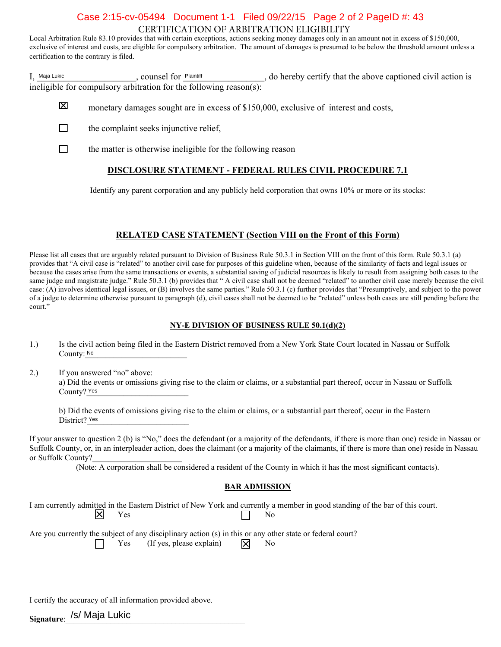# CERTIFICATION OF ARBITRATION ELIGIBILITY Case 2:15-cv-05494 Document 1-1 Filed 09/22/15 Page 2 of 2 PageID #: 43

Local Arbitration Rule 83.10 provides that with certain exceptions, actions seeking money damages only in an amount not in excess of \$150,000, exclusive of interest and costs, are eligible for compulsory arbitration. The amount of damages is presumed to be below the threshold amount unless a certification to the contrary is filed.

I, Maja Lukic Counsel for Plaintiff Counsel for <u>Plaintiff</u> and Alexander Counsel of a counsel for <u>Plaintiff</u> and Alexander Counsel action is a counsel for  $\frac{p_{\text{R}}}{p}$ , do hereby certify that the above captioned civil ineligible for compulsory arbitration for the following reason(s): Maja Lukic **Plaintiff** Counsel for Plaintiff

- 冈 monetary damages sought are in excess of \$150,000, exclusive of interest and costs,
- П the complaint seeks injunctive relief,
- $\Box$ the matter is otherwise ineligible for the following reason

#### **DISCLOSURE STATEMENT - FEDERAL RULES CIVIL PROCEDURE 7.1**

Identify any parent corporation and any publicly held corporation that owns 10% or more or its stocks:

#### **RELATED CASE STATEMENT (Section VIII on the Front of this Form)**

Please list all cases that are arguably related pursuant to Division of Business Rule 50.3.1 in Section VIII on the front of this form. Rule 50.3.1 (a) provides that "A civil case is "related" to another civil case for purposes of this guideline when, because of the similarity of facts and legal issues or because the cases arise from the same transactions or events, a substantial saving of judicial resources is likely to result from assigning both cases to the same judge and magistrate judge." Rule 50.3.1 (b) provides that " A civil case shall not be deemed "related" to another civil case merely because the civil case: (A) involves identical legal issues, or (B) involves the same parties." Rule 50.3.1 (c) further provides that "Presumptively, and subject to the power of a judge to determine otherwise pursuant to paragraph (d), civil cases shall not be deemed to be "related" unless both cases are still pending before the court."

#### **NY-E DIVISION OF BUSINESS RULE 50.1(d)(2)**

- 1.) Is the civil action being filed in the Eastern District removed from a New York State Court located in Nassau or Suffolk County: No
- 2.) If you answered "no" above: a) Did the events or omissions giving rise to the claim or claims, or a substantial part thereof, occur in Nassau or Suffolk County? Yes No<br>ISW<br>Ie e<br>Yes

b) Did the events of omissions giving rise to the claim or claims, or a substantial part thereof, occur in the Eastern District? Yes

If your answer to question 2 (b) is "No," does the defendant (or a majority of the defendants, if there is more than one) reside in Nassau or Suffolk County, or, in an interpleader action, does the claimant (or a majority of the claimants, if there is more than one) reside in Nassau or Suffolk County?

(Note: A corporation shall be considered a resident of the County in which it has the most significant contacts).

#### **BAR ADMISSION**

I am currently admitted in the Eastern District of New York and currently a member in good standing of the bar of this court.<br>No Yes No

Are you currently the subject of any disciplinary action (s) in this or any other state or federal court? Yes (If yes, please explain)  $\overrightarrow{X}$  No

I certify the accuracy of all information provided above.

**Signature**:\_\_\_\_\_\_\_\_\_\_\_\_\_\_\_\_\_\_\_\_\_\_\_\_\_\_\_\_\_\_\_\_\_\_\_\_\_\_\_\_\_\_\_\_ /s/ Maja Lukic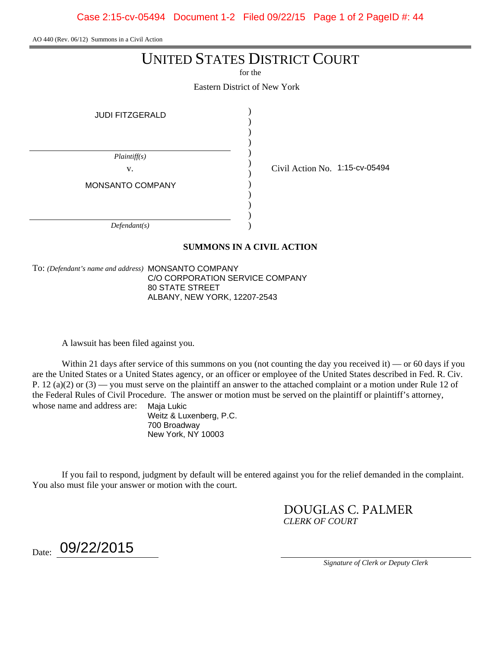Case 2:15-cv-05494 Document 1-2 Filed 09/22/15 Page 1 of 2 PageID #: 44

AO 440 (Rev. 06/12) Summons in a Civil Action

# UNITED STATES DISTRICT COURT

for the

Eastern District of New York

| <b>JUDI FITZGERALD</b>           |                                |
|----------------------------------|--------------------------------|
| Plaintiff(s)<br>V.               | Civil Action No. 1:15-cv-05494 |
| MONSANTO COMPANY<br>Defendant(s) |                                |

#### **SUMMONS IN A CIVIL ACTION**

To: *(Defendant's name and address)* MONSANTO COMPANY C/O CORPORATION SERVICE COMPANY 80 STATE STREET ALBANY, NEW YORK, 12207-2543

A lawsuit has been filed against you.

Within 21 days after service of this summons on you (not counting the day you received it) — or 60 days if you are the United States or a United States agency, or an officer or employee of the United States described in Fed. R. Civ. P. 12 (a)(2) or  $(3)$  — you must serve on the plaintiff an answer to the attached complaint or a motion under Rule 12 of the Federal Rules of Civil Procedure. The answer or motion must be served on the plaintiff or plaintiff's attorney, whose name and address are: Maja Lukic

> Weitz & Luxenberg, P.C. 700 Broadway New York, NY 10003

If you fail to respond, judgment by default will be entered against you for the relief demanded in the complaint. You also must file your answer or motion with the court.

> *CLERK OF COURT* DOUGLAS C. PALMER

 $_{\rm Date:}$  09/22/2015

*Signature of Clerk or Deputy Clerk*